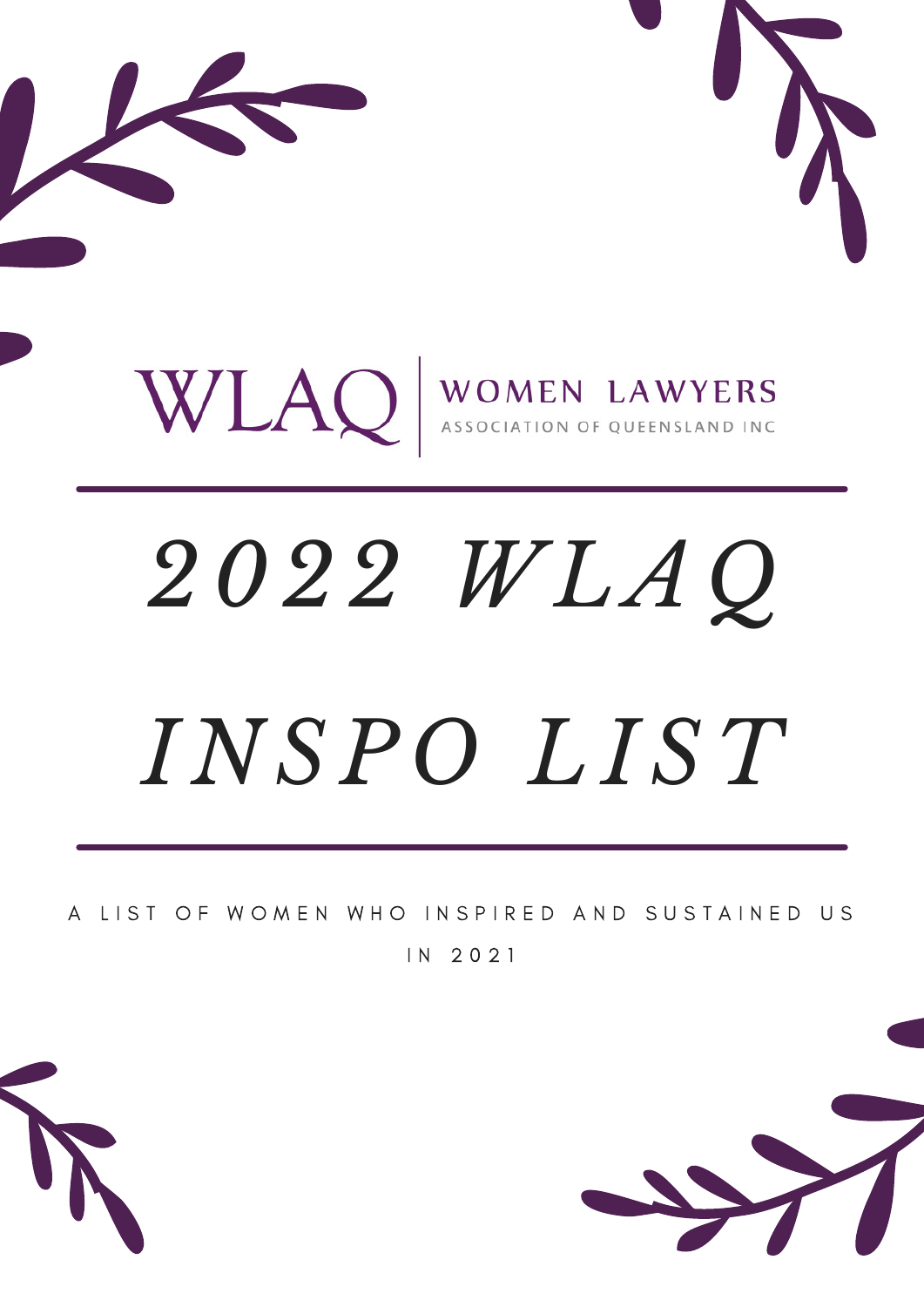

# *2022 WLA Q I N SP O L I ST*

A LIST OF WOMEN WHO INSPIRED AND SUSTAINED US

I N 2 0 2 1

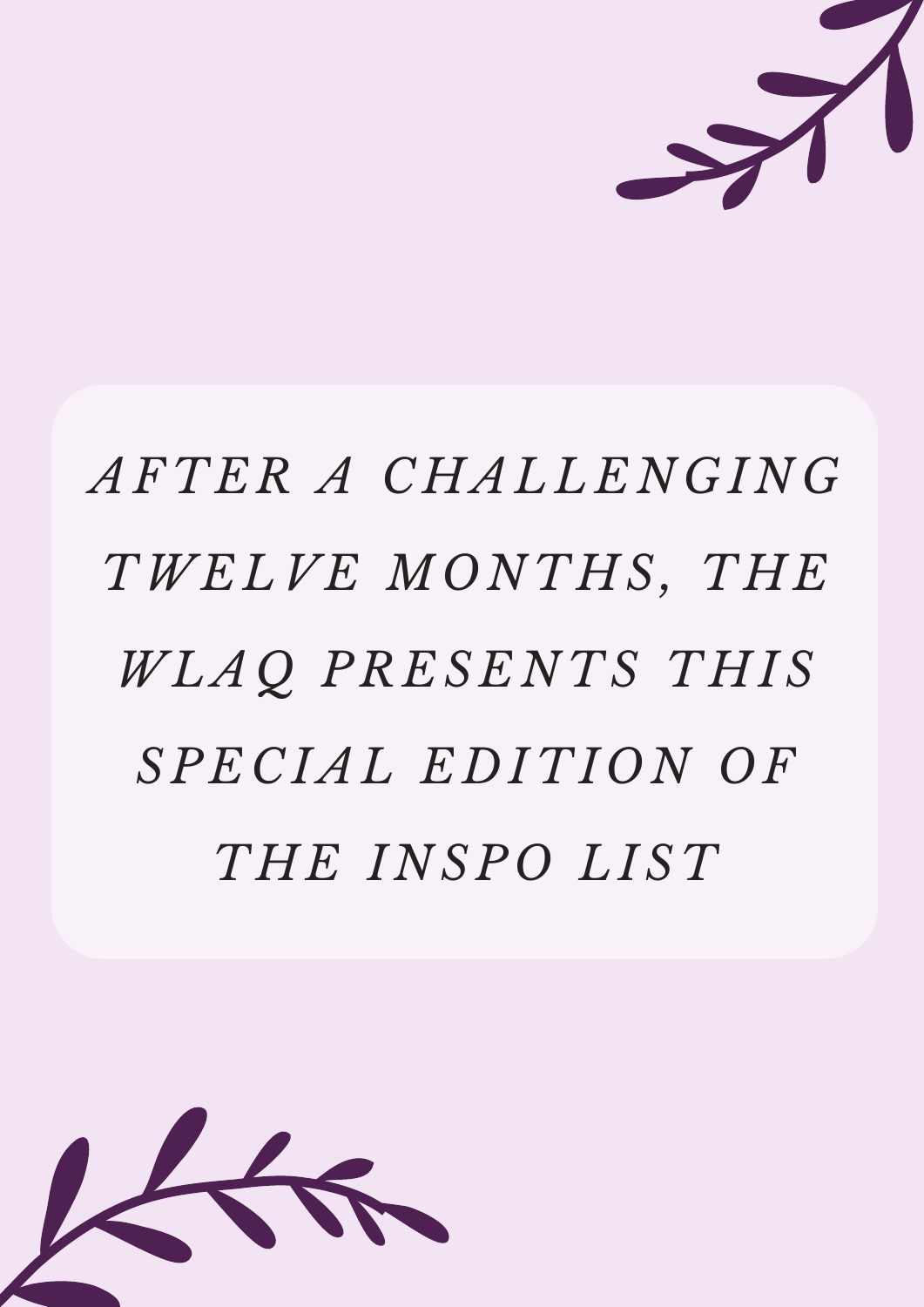

# *AFTER A CHAL L E N G I N G TWE LVE MO N THS , THE WLA Q PRE S E N TS THI S SP E C IAL E D ITI O N O F THE I N SP O L I ST*

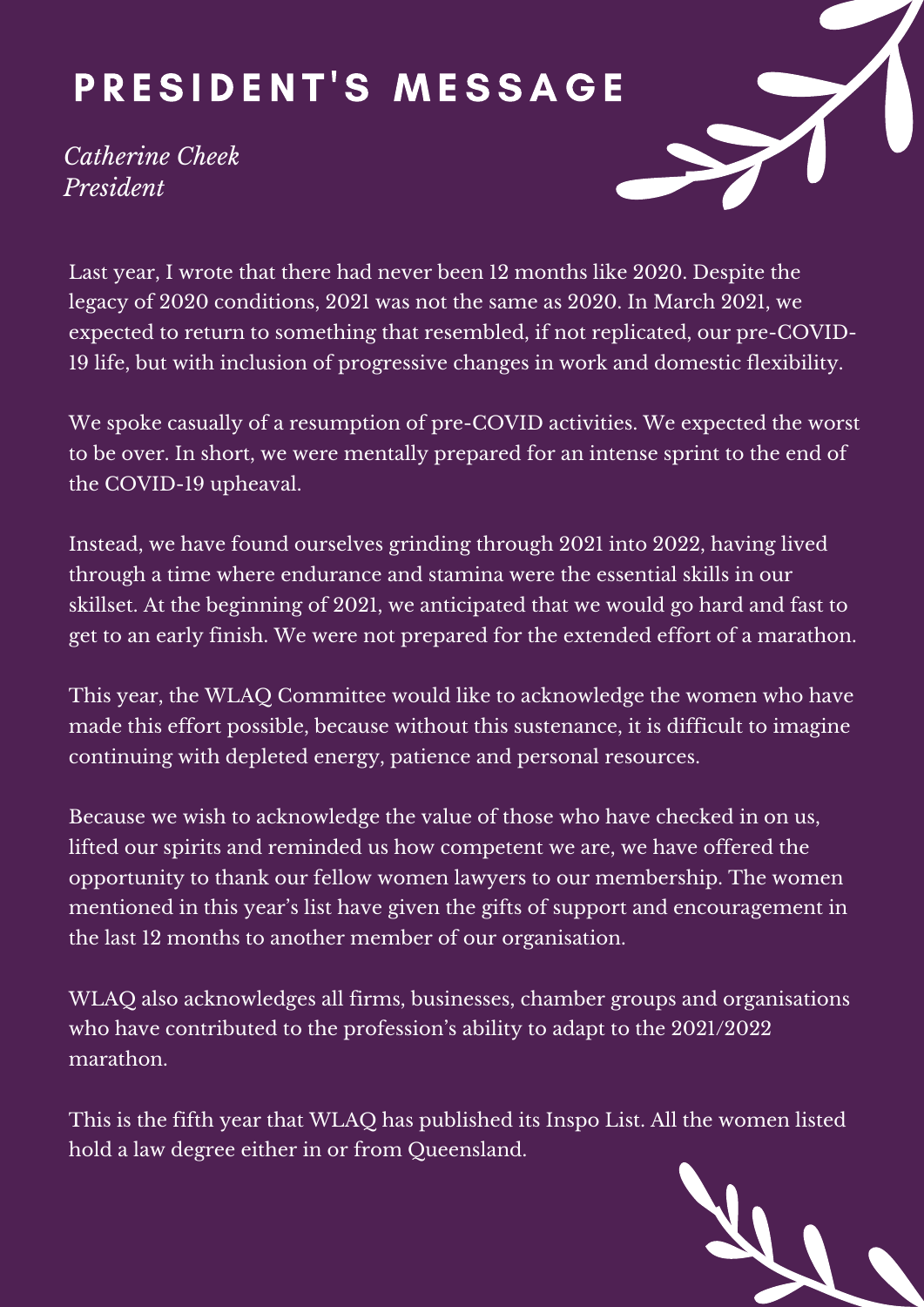#### PRESIDENT'S MESSAGE

*Catherine Cheek President*



Last year, I wrote that there had never been 12 months like 2020. Despite the legacy of 2020 conditions, 2021 was not the same as 2020. In March 2021, we expected to return to something that resembled, if not replicated, our pre-COVID-19 life, but with inclusion of progressive changes in work and domestic flexibility.

We spoke casually of a resumption of pre-COVID activities. We expected the worst to be over. In short, we were mentally prepared for an intense sprint to the end of the COVID-19 upheaval.

Instead, we have found ourselves grinding through 2021 into 2022, having lived through a time where endurance and stamina were the essential skills in our skillset. At the beginning of 2021, we anticipated that we would go hard and fast to get to an early finish. We were not prepared for the extended effort of a marathon.

This year, the WLAQ Committee would like to acknowledge the women who have made this effort possible, because without this sustenance, it is difficult to imagine continuing with depleted energy, patience and personal resources.

Because we wish to acknowledge the value of those who have checked in on us, lifted our spirits and reminded us how competent we are, we have offered the opportunity to thank our fellow women lawyers to our membership. The women mentioned in this year's list have given the gifts of support and encouragement in the last 12 months to another member of our organisation.

WLAQ also acknowledges all firms, businesses, chamber groups and organisations who have contributed to the profession's ability to adapt to the 2021/2022 marathon.

This is the fifth year that WLAQ has published its Inspo List. All the women listed hold a law degree either in or from Queensland.

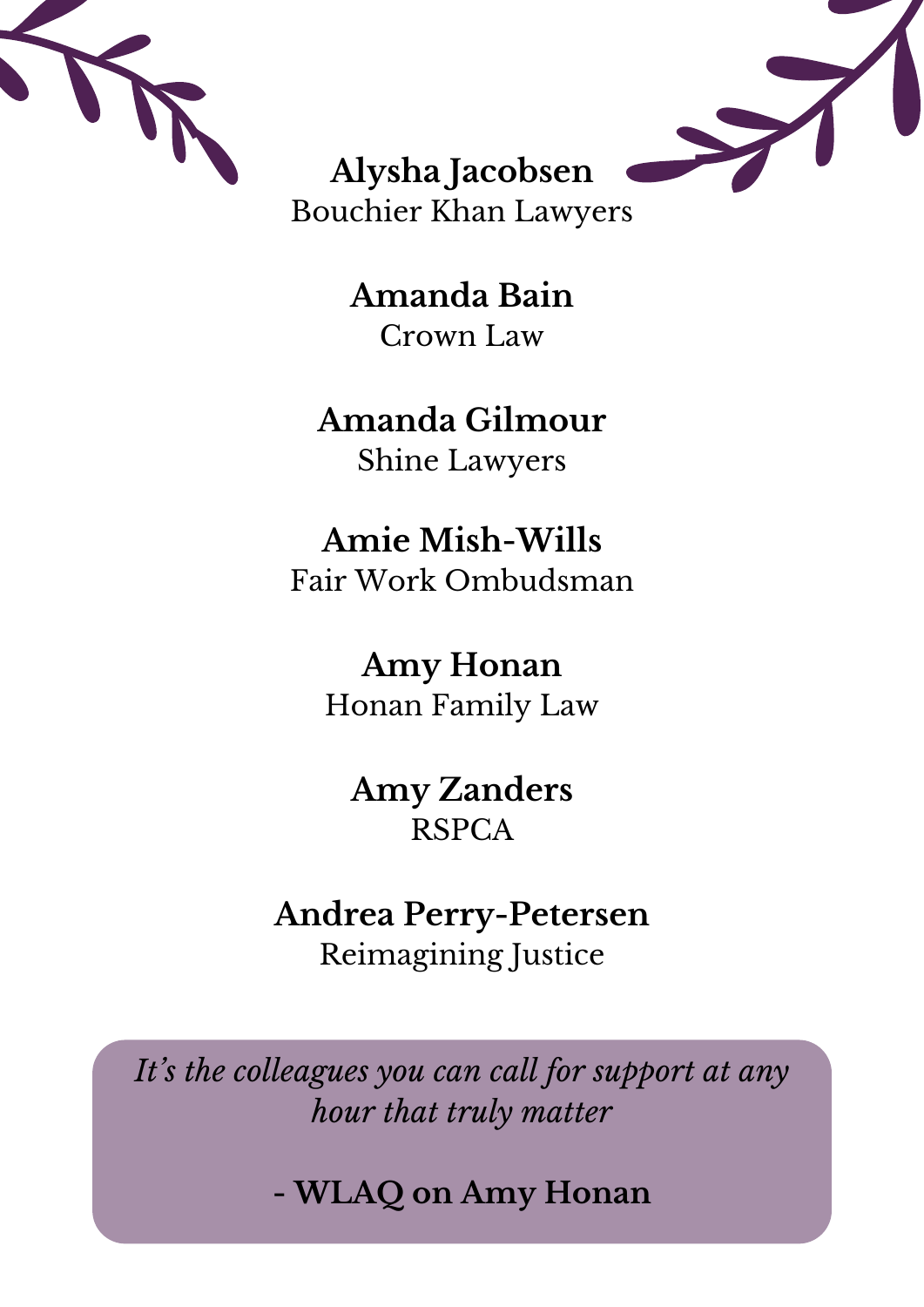



**Alysha Jacobsen** Bouchier Khan Lawyers

> **Amanda Bain** Crown Law

#### **Amanda Gilmour** Shine Lawyers

**Amie Mish-Wills** Fair Work Ombudsman

**Amy Honan** Honan Family Law

**Amy Zanders** RSPCA

#### **Andrea Perry-Petersen** Reimagining Justice

*It' s the colleagues you can call for support at any hour that truly matter*

**- WLAQ on Amy Honan**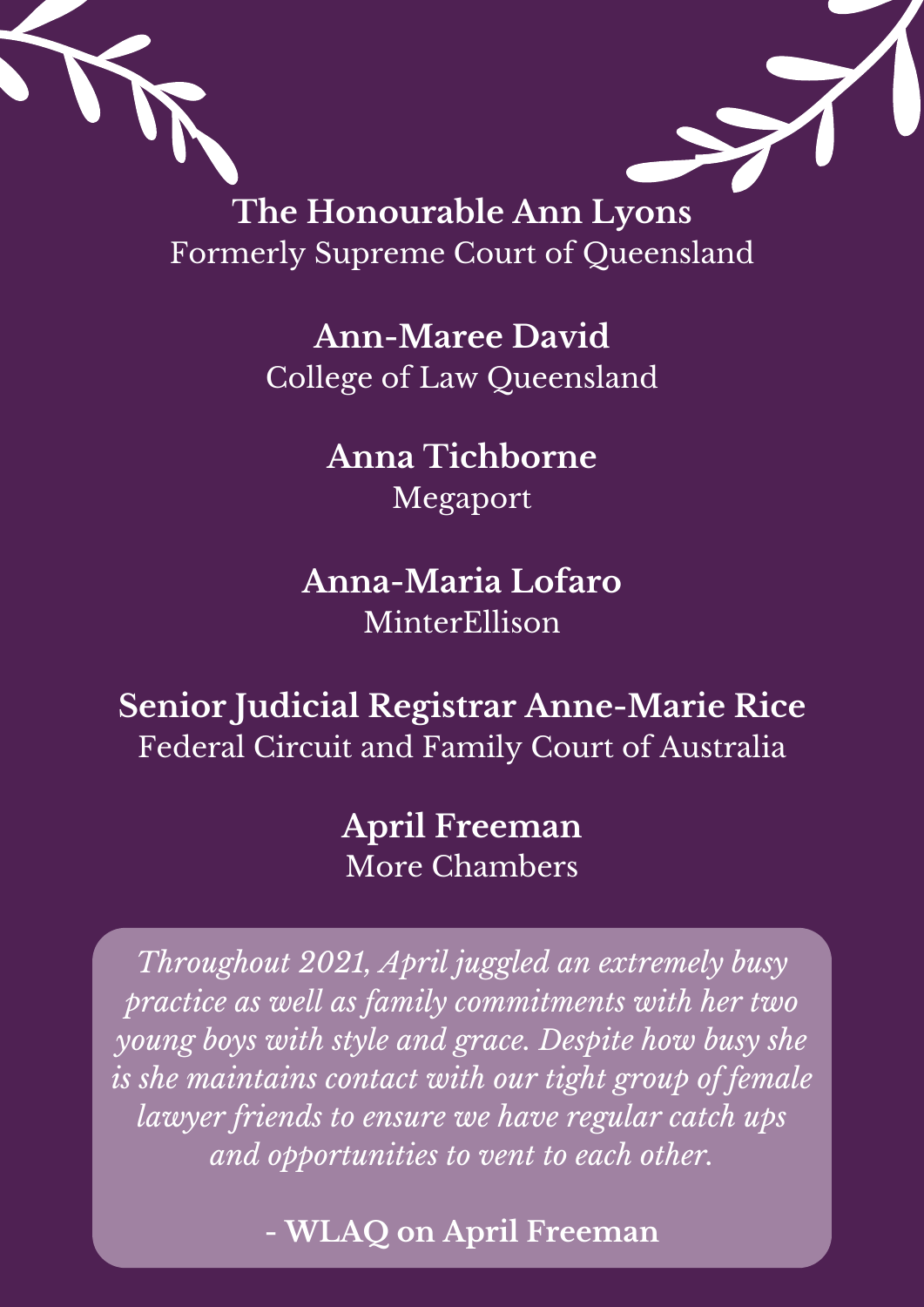

**The Honourable Ann Lyons** Formerly Supreme Court of Queensland

> **Ann-Maree David** College of Law Queensland

> > **Anna Tichborne** Megaport

**Anna-Maria Lofaro** MinterEllison

**Senior Judicial Registrar Anne-Marie Rice** Federal Circuit and Family Court of Australia

> **April Freeman** More Chambers

*Throughout 2021, April juggled an extremely busy practice as well as family commitments with her two young boys with style and grace. Despite how busy she is she maintains contact with our tight group of female lawyer friends to ensure we have regular catch ups and opportunities to vent to each other.*

**- WLAQ on April Freeman**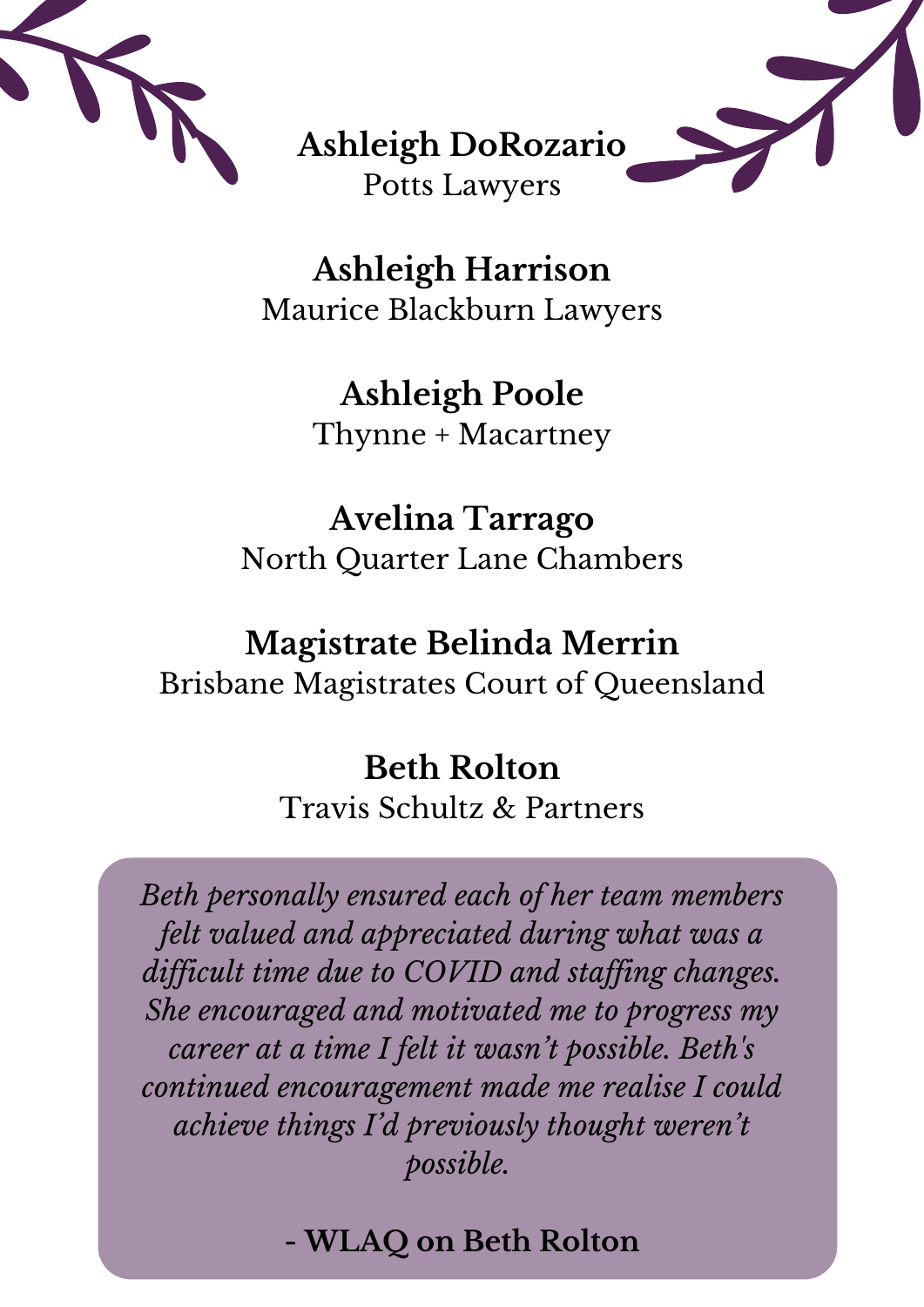



**Ashleigh Harrison** Maurice Blackburn Lawyers

> **Ashleigh Poole** Thynne + Macartney

**Avelina Tarrago** North Quarter Lane Chambers

#### **Magistrate Belinda Merrin** Brisbane Magistrates Court of Queensland

## **Beth Rolton**

Travis Schultz & Partners

*Beth personally ensured each of her team members felt valued and appreciated during what was a dif icult time due to COVID and staf ing changes. She encouraged and motivated me to progress my career at a time I felt it wasn 't possible. Beth' s continued encouragement made me realise I could achieve things I'd previously thought weren 't possible.*

#### **- WLAQ on Beth Rolton**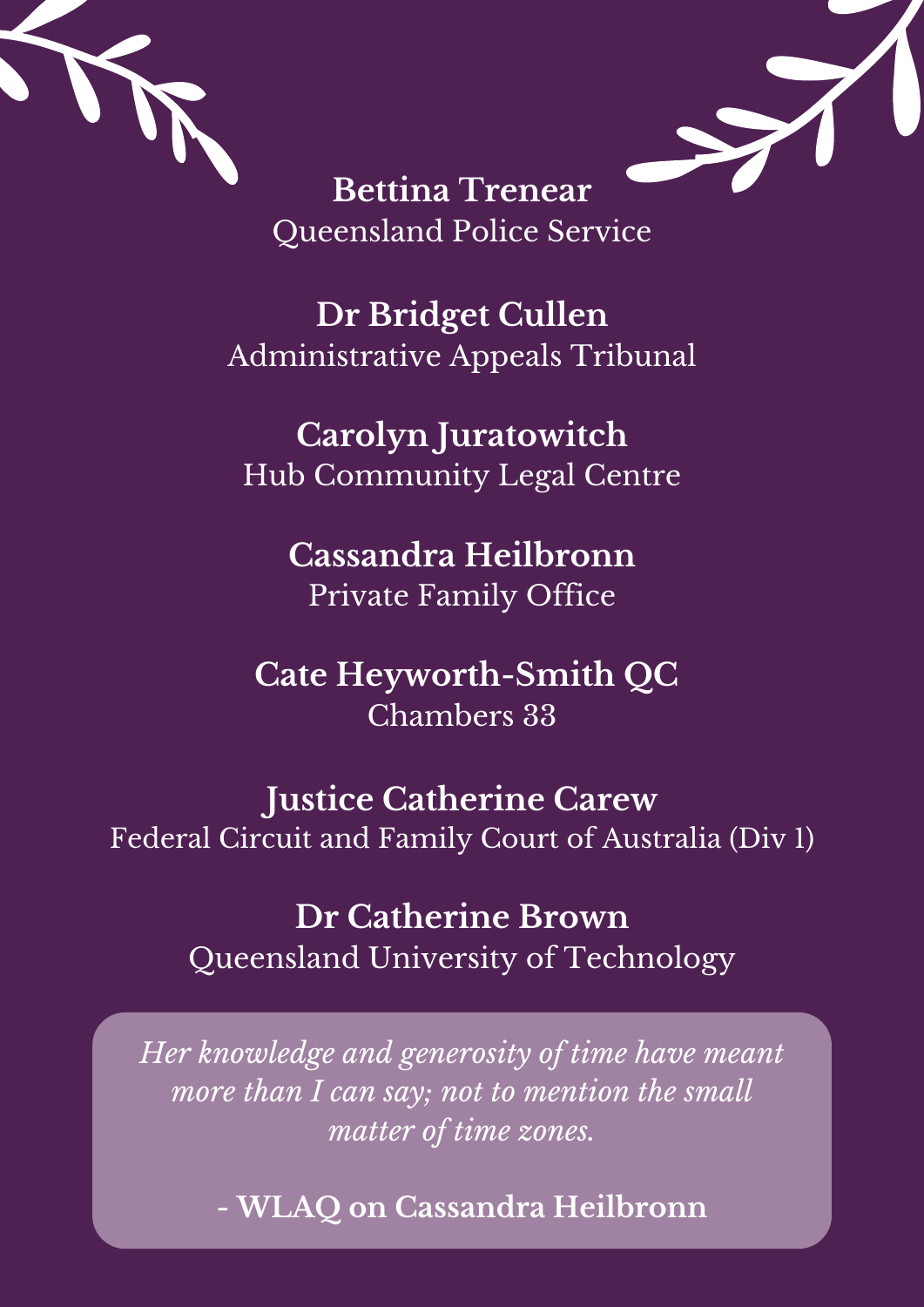

**Bettina Trenear** Queensland Police Service

**Dr Bridget Cullen** Administrative Appeals Tribunal

**Carolyn Juratowitch** Hub Community Legal Centre

> **Cassandra Heilbronn** Private Family Office

**Cate Heyworth-Smith QC** Chambers 33

**Justice Catherine Carew** Federal Circuit and Family Court of Australia (Div 1)

> **Dr Catherine Brown** Queensland University of Technology

*Her knowledge and generosity of time have meant more than I can say; not to mention the small matter of time zones.*

**- WLAQ on Cassandra Heilbronn**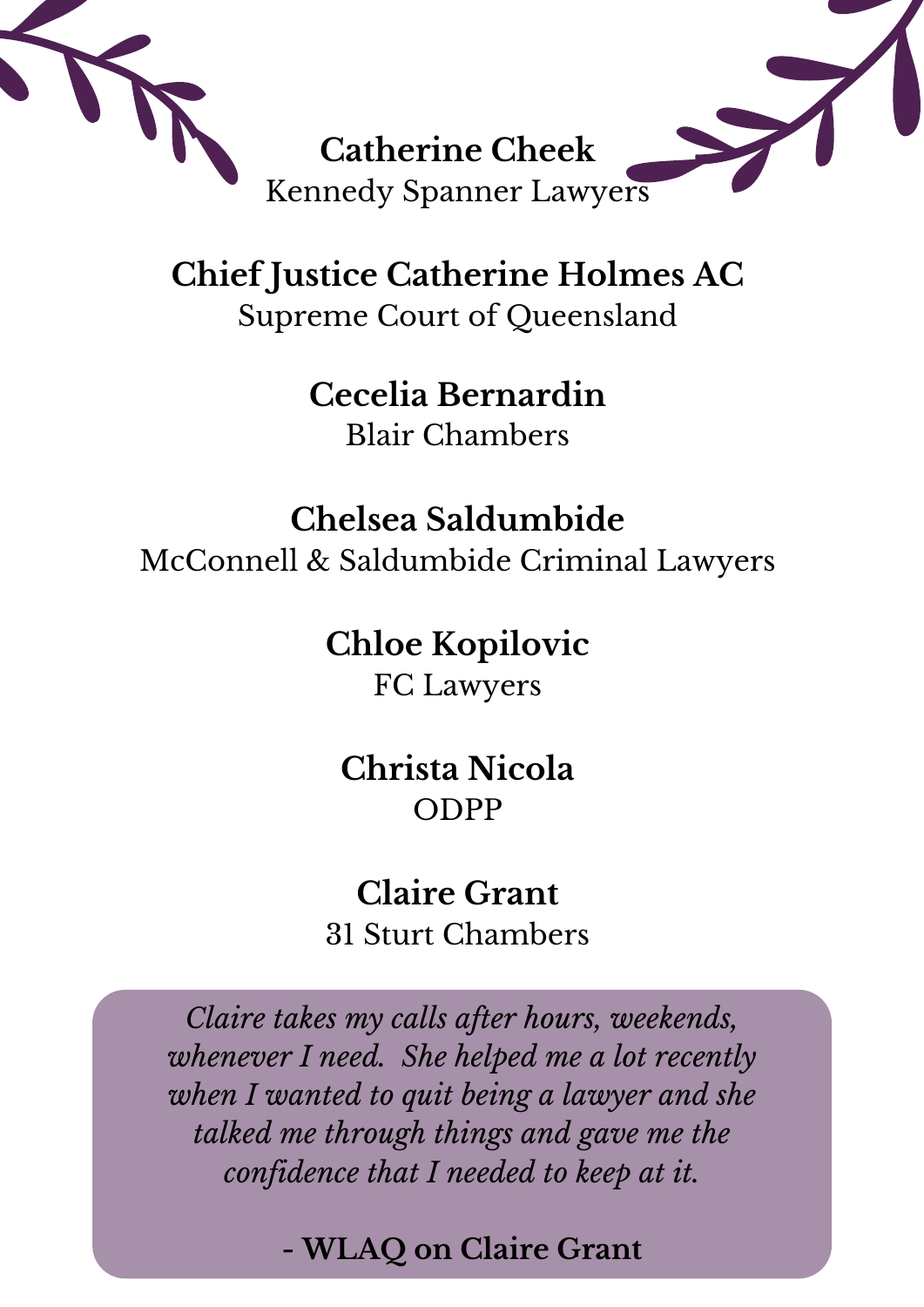

**Chief Justice Catherine Holmes AC** Supreme Court of Queensland

> **Cecelia Bernardin** Blair Chambers

**Chelsea Saldumbide** McConnell & Saldumbide Criminal Lawyers

**Chloe Kopilovic**

FC Lawyers

**Christa Nicola** ODPP

**Claire Grant** 31 Sturt Chambers

*Claire takes my calls after hours, weekends, whenever I need. She helped me a lot recently when I wanted to quit being a lawyer and she talked me through things and gave me the confidence that I needed to keep at it.*

**- WLAQ on Claire Grant**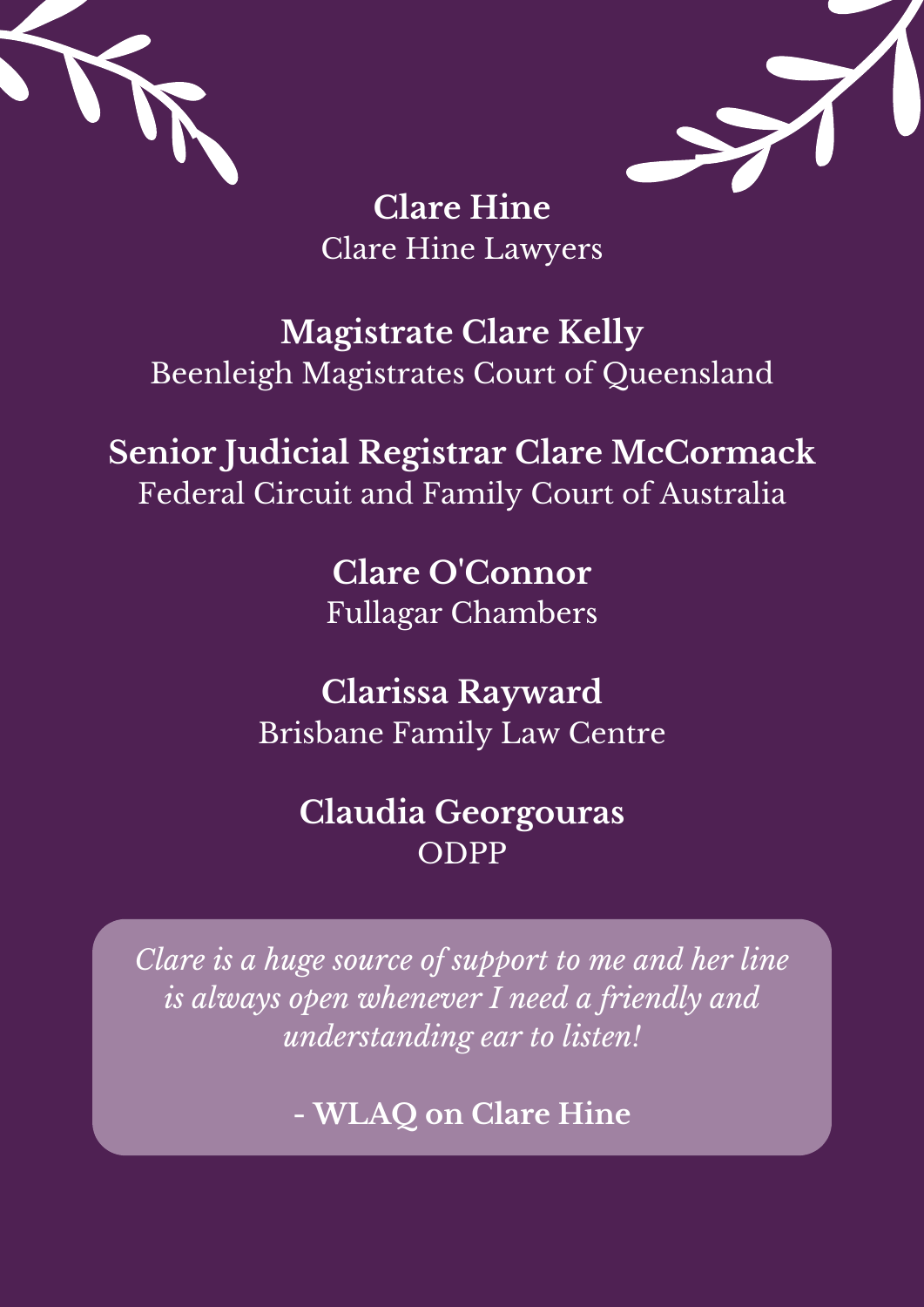



**Clare Hine** Clare Hine Lawyers

#### **Magistrate Clare Kelly** Beenleigh Magistrates Court of Queensland

#### **Senior Judicial Registrar Clare McCormack** Federal Circuit and Family Court of Australia

**Clare O'Connor** Fullagar Chambers

**Clarissa Rayward** Brisbane Family Law Centre

#### **Claudia Georgouras** ODPP

*Clare is a huge source of support to me and her line is always open whenever I need a friendly and understanding ear to listen!*

**- WLAQ on Clare Hine**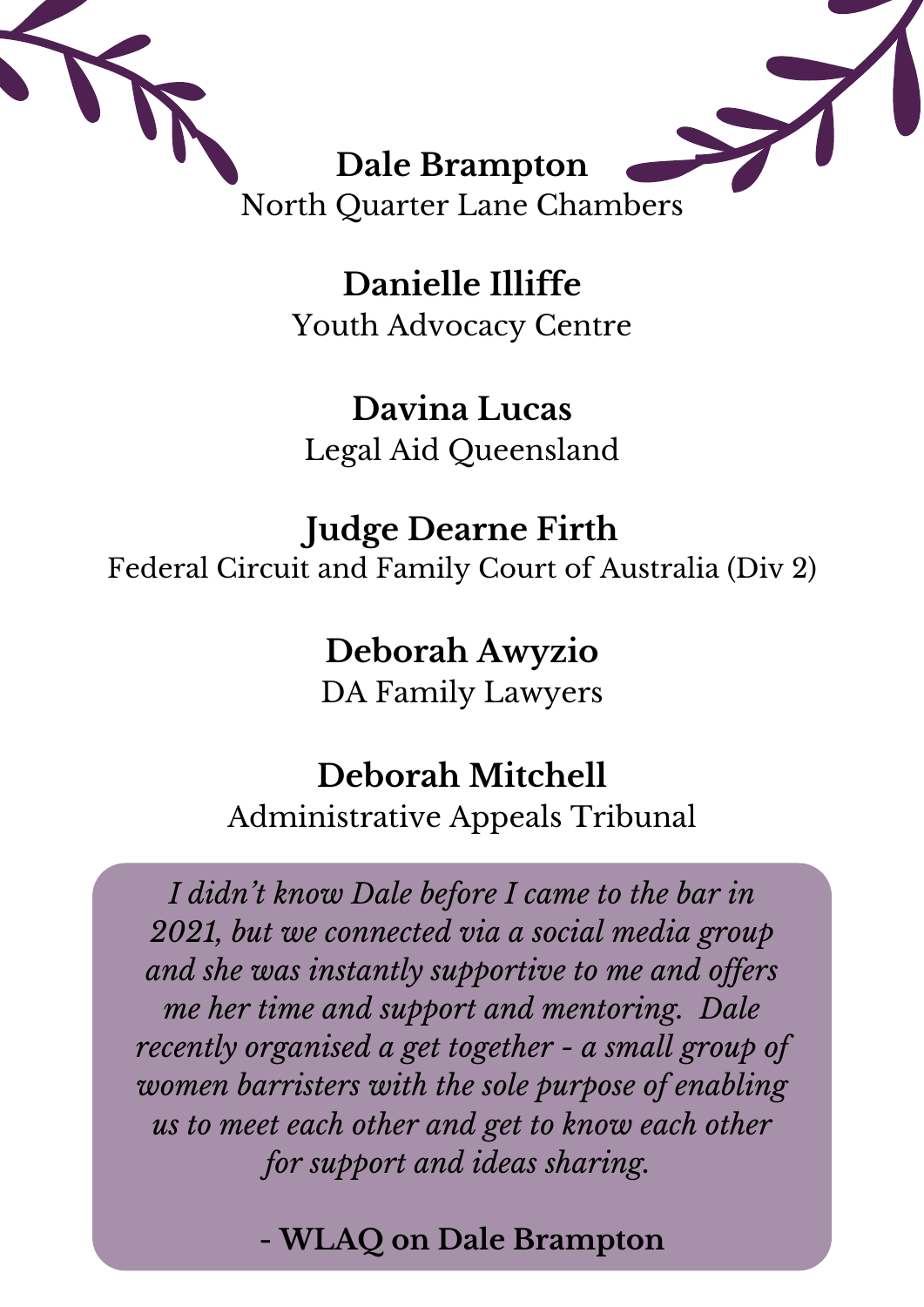

**Danielle Illiffe** Youth Advocacy Centre

**Davina Lucas** Legal Aid Queensland

#### **Judge Dearne Firth** Federal Circuit and Family Court of Australia (Div 2)

#### **Deborah Awyzio**

DA Family Lawyers

#### **Deborah Mitchell**

Administrative Appeals Tribunal

*I didn 't know Dale before I came to the bar in 2021, but we connected via a social media group and she was instantly supportive to me and of ers me her time and support and mentoring. Dale recently organised a get together - a small group of women barristers with the sole purpose of enabling us to meet each other and get to know each other for support and ideas sharing.*

#### **- WLAQ on Dale Brampton**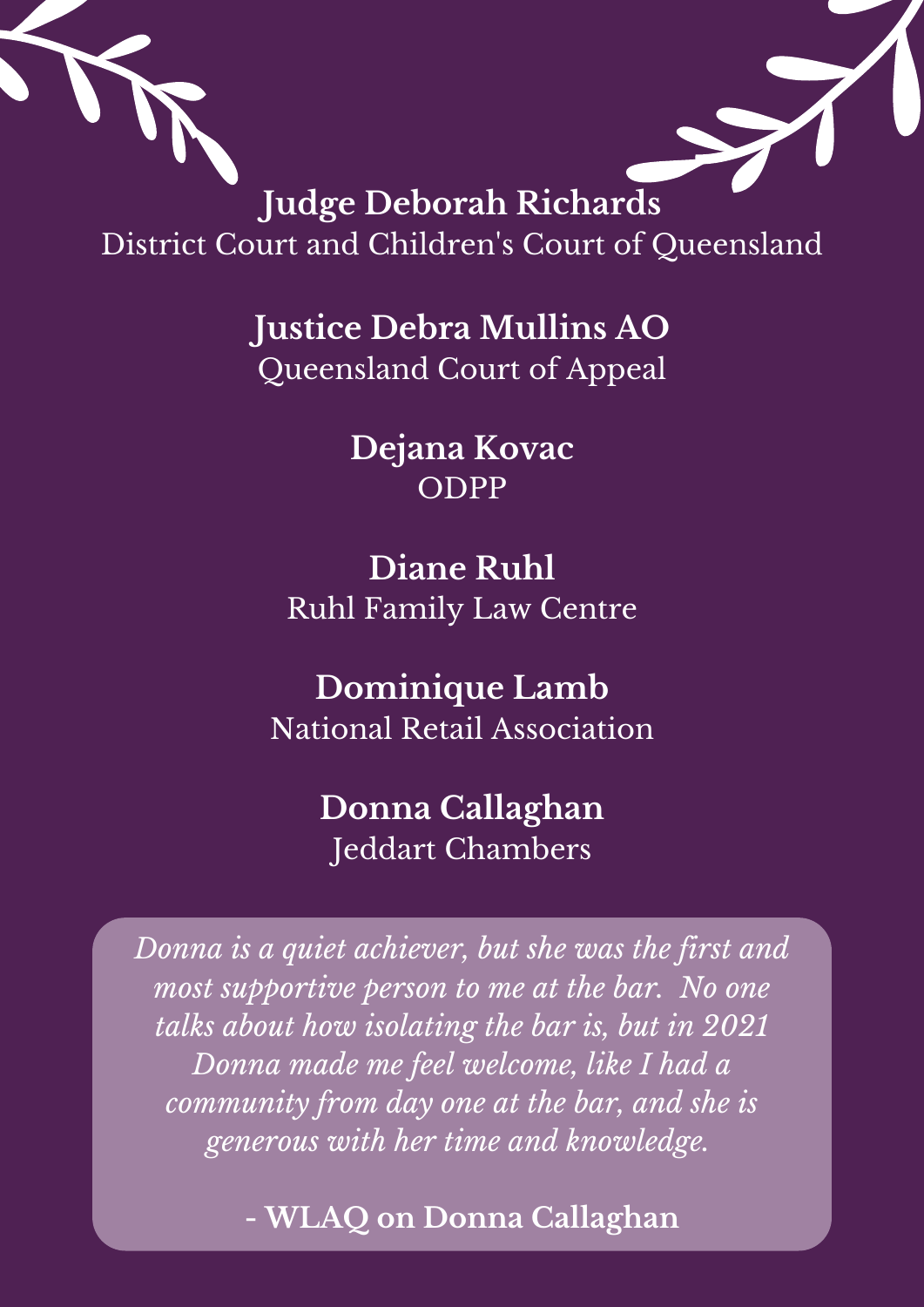

District Court and Children 's Court of Queensland

> **Justice Debra Mullins AO** Queensland Court of Appeal

> > **Dejana Kovac** ODPP

**Diane Ruhl** Ruhl Family Law Centre

**Dominique Lamb** National Retail Association

#### **Donna Callaghan** Jeddart Chambers

*Donna is a quiet achiever, but she was the first and most supportive person to me at the bar. No one talks about how isolating the bar is, but in 2021 Donna made me feel welcome, like I had a community from day one at the bar, and she is generous with her time and knowledge.*

**- WLAQ on Donna Callaghan**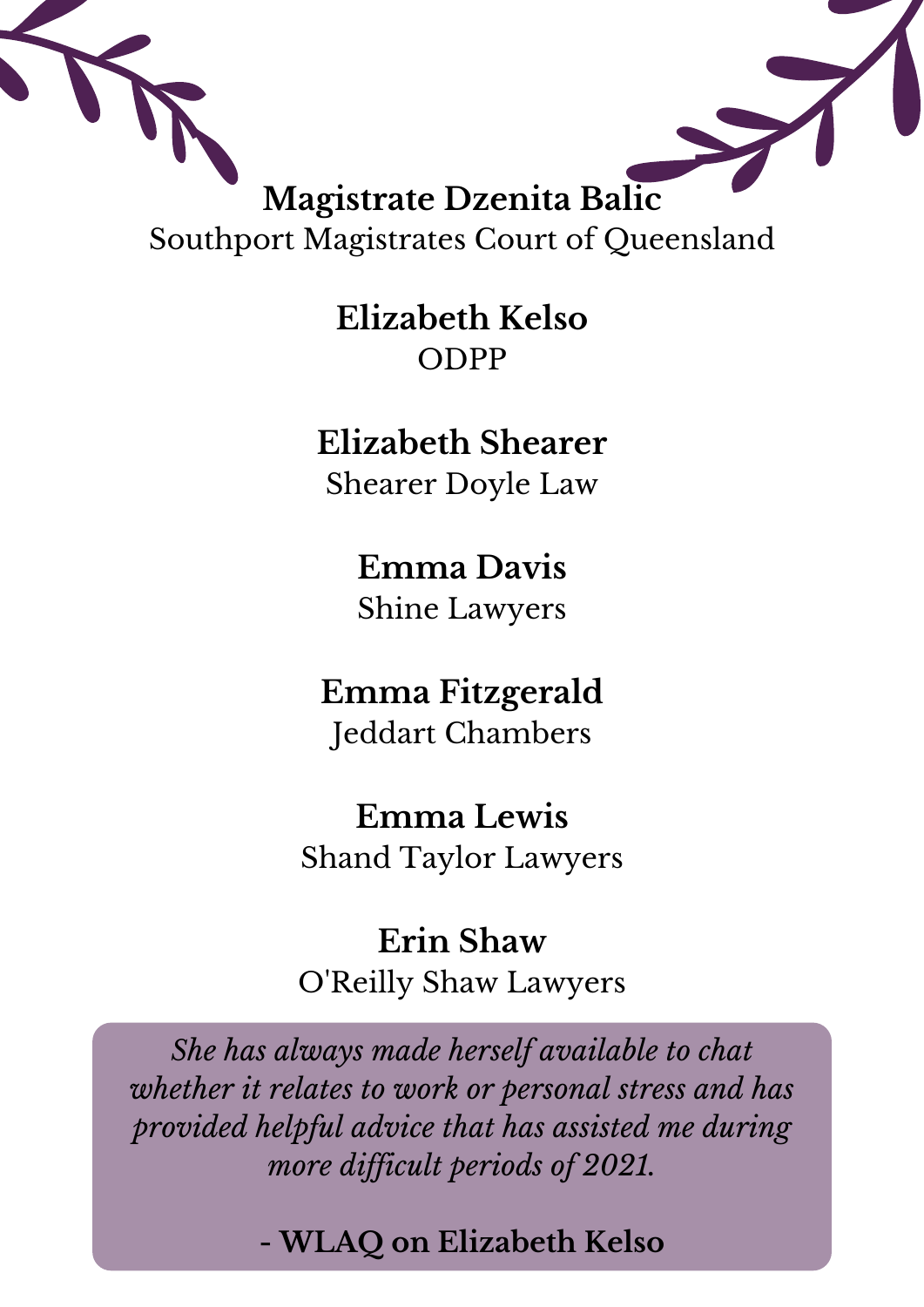

**Elizabeth Kelso** ODPP

**Elizabeth Shearer** Shearer Doyle Law

> **Emma Davis** Shine Lawyers

**Emma Fitzgerald** Jeddart Chambers

**Emma Lewis** Shand Taylor Lawyers

**Erin Shaw** O'Reilly Shaw Lawyers

*She has always made herself available to chat whether it relates to work or personal stress and has provided helpful advice that has assisted me during more dif icult periods of 2021.*

**- WLAQ on Elizabeth Kelso**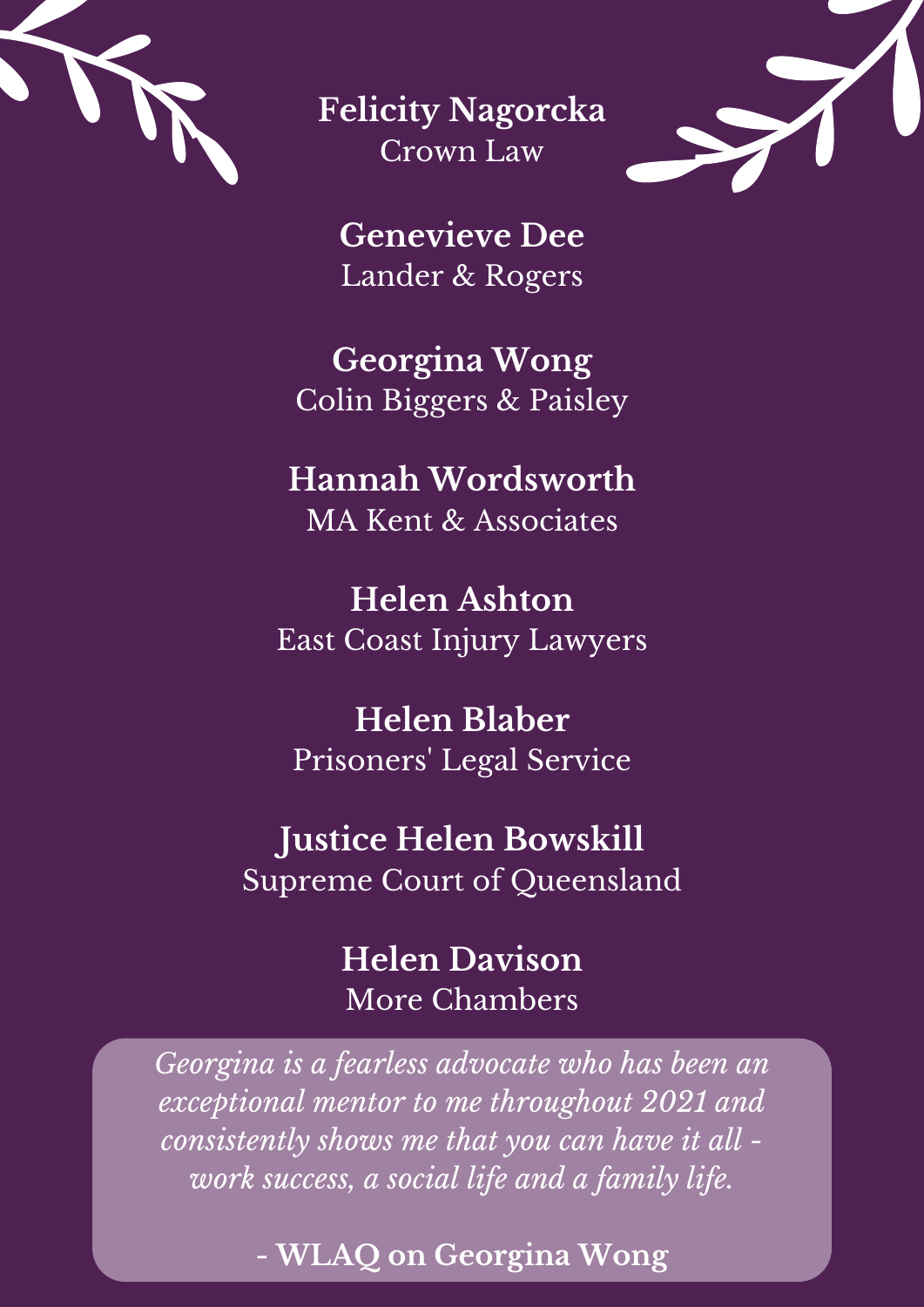

**Felicity Nagorcka** Crown Law



**Genevieve Dee** Lander & Rogers

**Georgina Wong** Colin Biggers & Paisley

#### **Hannah Wordsworth** MA Kent & Associates

**Helen Ashton** East Coast Injury Lawyers

**Helen Blaber** Prisoners ' Legal Service

#### **Justice Helen Bowskill**

Supreme Court of Queensland

**Helen Davison** More Chambers

*Georgina is a fearless advocate who has been an exceptional mentor to me throughout 2021 and consistently shows me that you can have it all work success, a social life and a family life.*

**- WLAQ on Georgina Wong**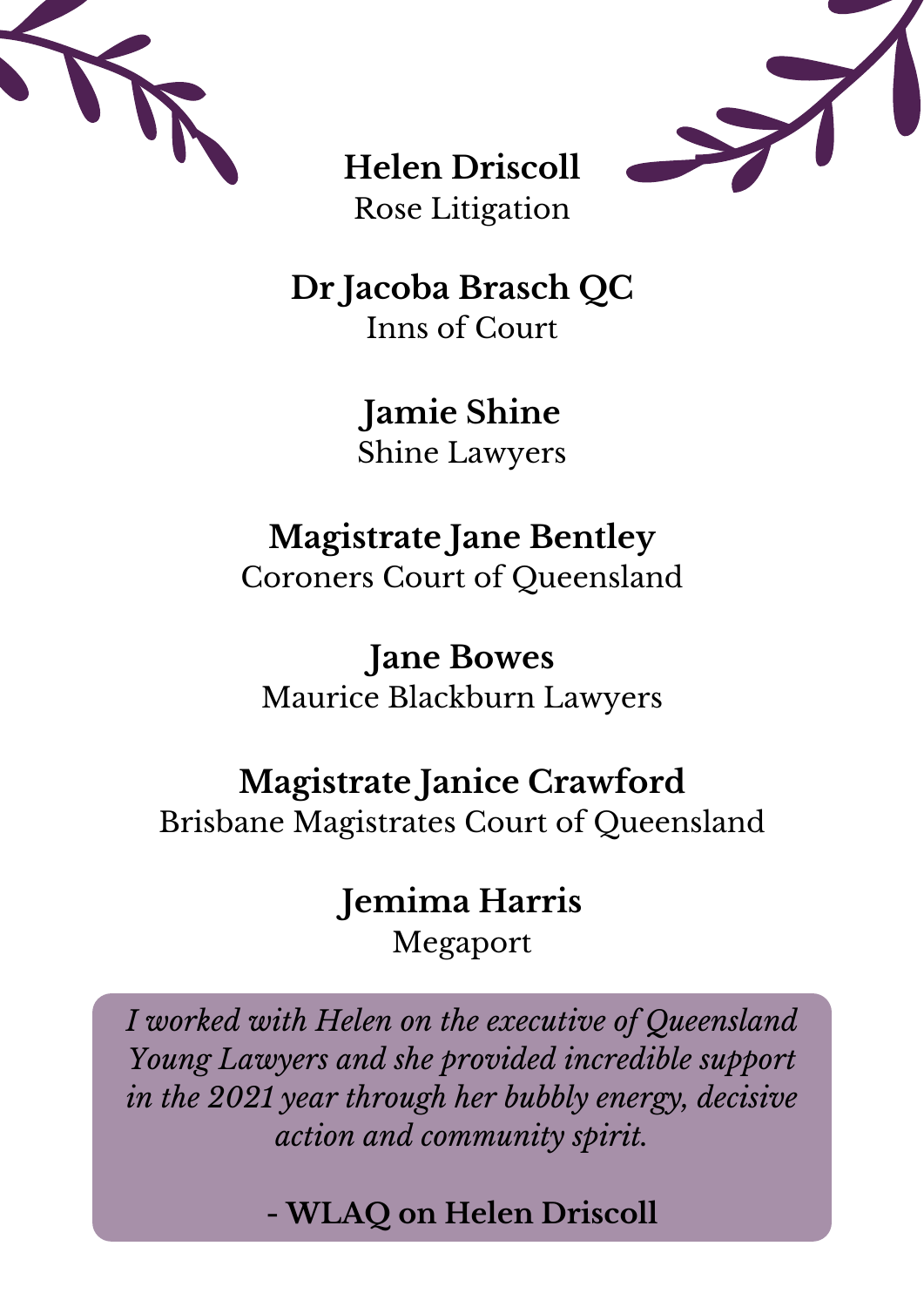



**Helen Driscoll** Rose Litigation

**Dr Jacoba Brasch QC** Inns of Court

> **Jamie Shine** Shine Lawyers

#### **Magistrate Jane Bentley** Coroners Court of Queensland

**Jane Bowes**

Maurice Blackburn Lawyers

### **Magistrate Janice Crawford**

Brisbane Magistrates Court of Queensland

#### **Jemima Harris** Megaport

*I worked with Helen on the executive of Queensland Young Lawyers and she provided incredible support in the 2021 year through her bubbly energy, decisive action and community spirit.*

**- WLAQ on Helen Driscoll**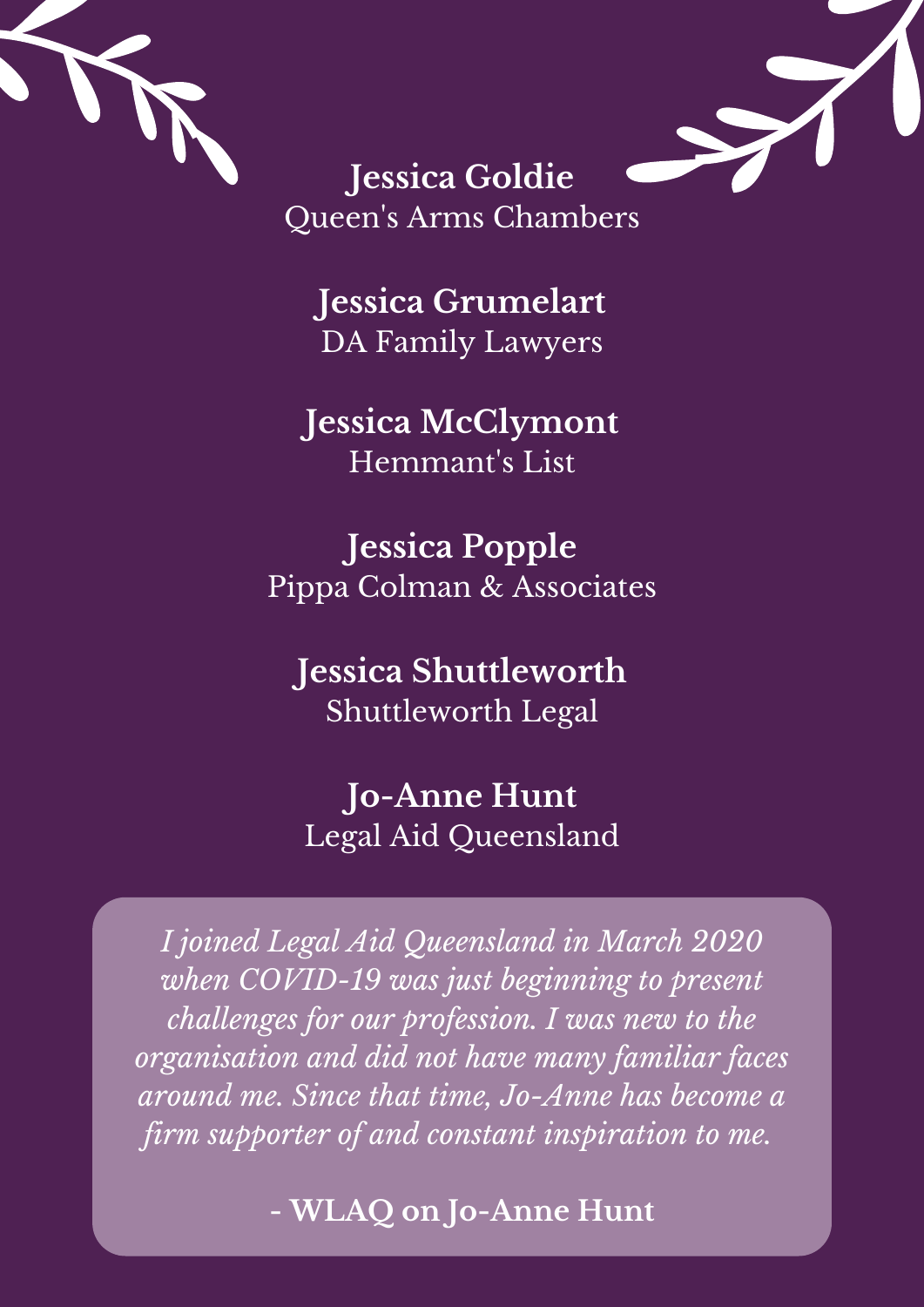



**Jessica Goldie** Queen 's Arms Chambers

**Jessica Grumelart** DA Family Lawyers

**Jessica McClymont** Hemmant' s List

**Jessica Popple** Pippa Colman & Associates

**Jessica Shuttleworth** Shuttleworth Legal

#### **Jo-Anne Hunt** Legal Aid Queensland

*I joined Legal Aid Queensland in March 2020 when COVID-19 was just beginning to present challenges for our profession. I was new to the organisation and did not have many familiar faces around me. Since that time, Jo-Anne has become a firm supporter of and constant inspiration to me.*

**- WLAQ on Jo-Anne Hunt**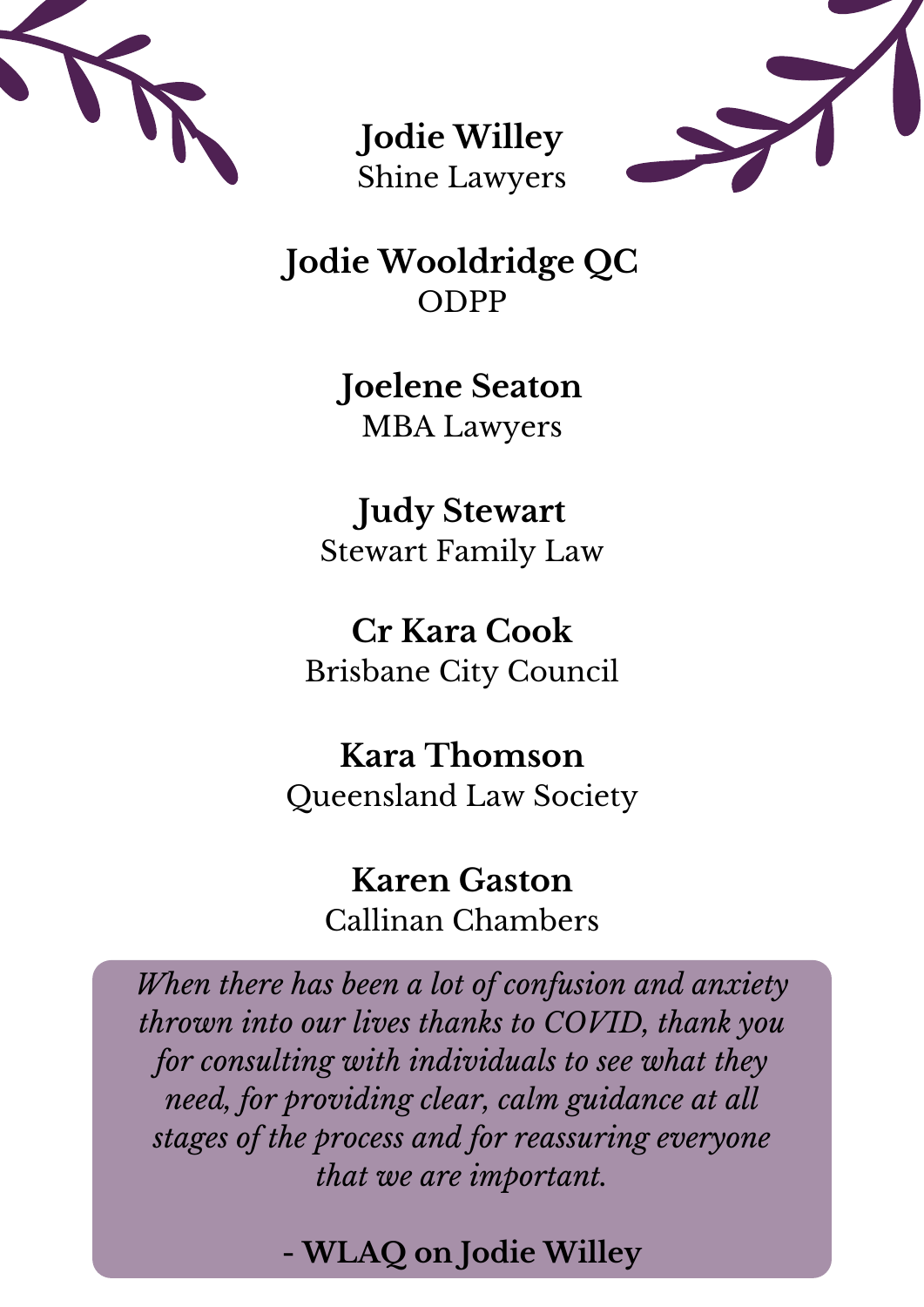

**Jodie Willey** Shine Lawyers



**Jodie Wooldridge QC** ODPP

> **Joelene Seaton** MBA Lawyers

**Judy Stewart** Stewart Family Law

**Cr Kara Cook** Brisbane City Council

**Kara Thomson** Queensland Law Society

> **Karen Gaston** Callinan Chambers

*When there has been a lot of confusion and anxiety thrown into our lives thanks to COVID, thank you for consulting with individuals to see what they need, for providing clear, calm guidance at all stages of the process and for reassuring everyone that we are important.*

**- WLAQ on Jodie Willey**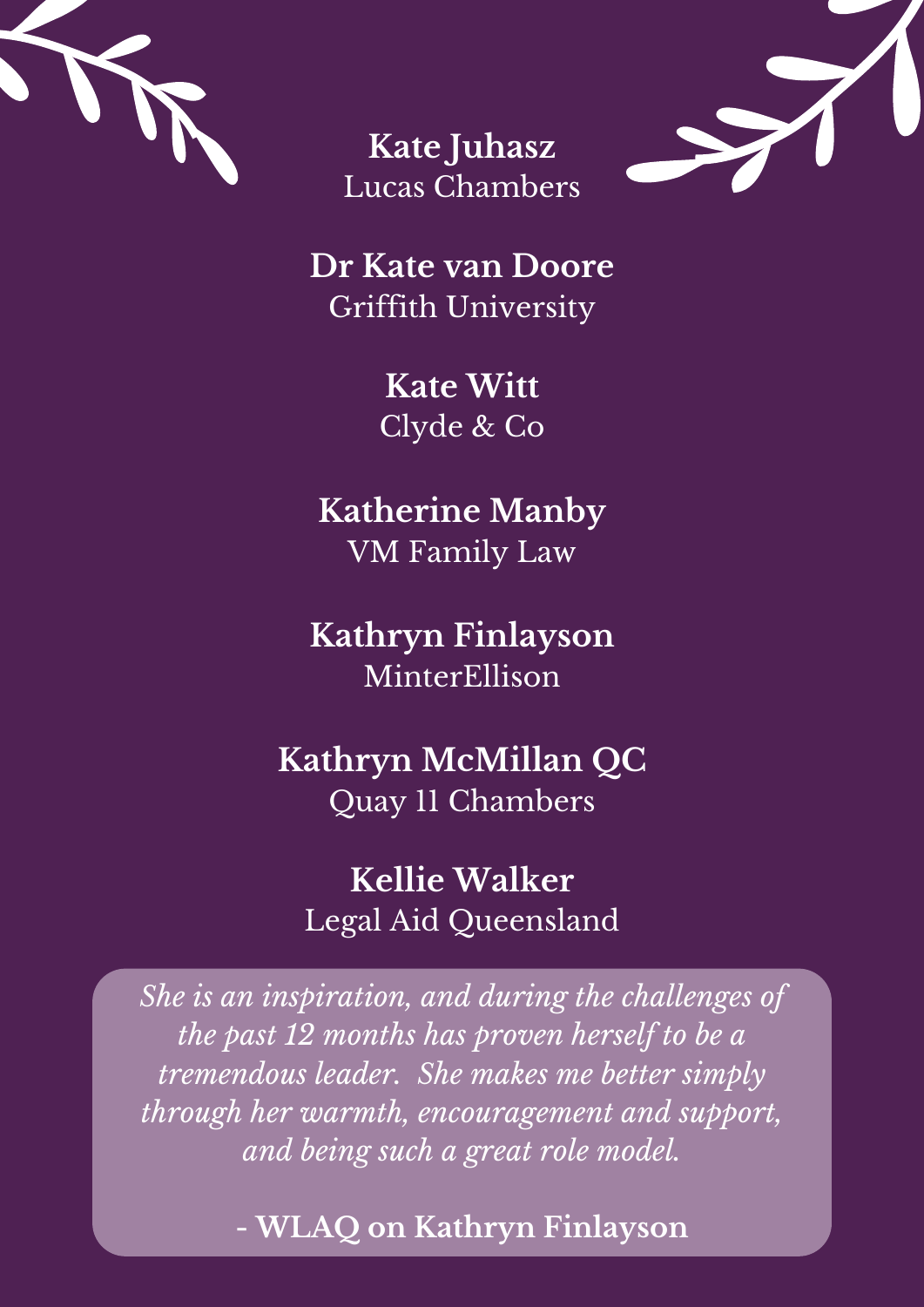

**Kate Juhasz** Lucas Chambers



**Dr Kate van Doore** Griffith University

> **Kate Witt** Clyde & Co

**Katherine Manby** VM Family Law

**Kathryn Finlayson** MinterEllison

**Kathryn McMillan QC** Quay 11 Chambers

**Kellie Walker** Legal Aid Queensland

*She is an inspiration, and during the challenges of the past 12 months has proven herself to be a tremendous leader. She makes me better simply through her warmth, encouragement and support, and being such a great role model.*

**- WLAQ on Kathryn Finlayson**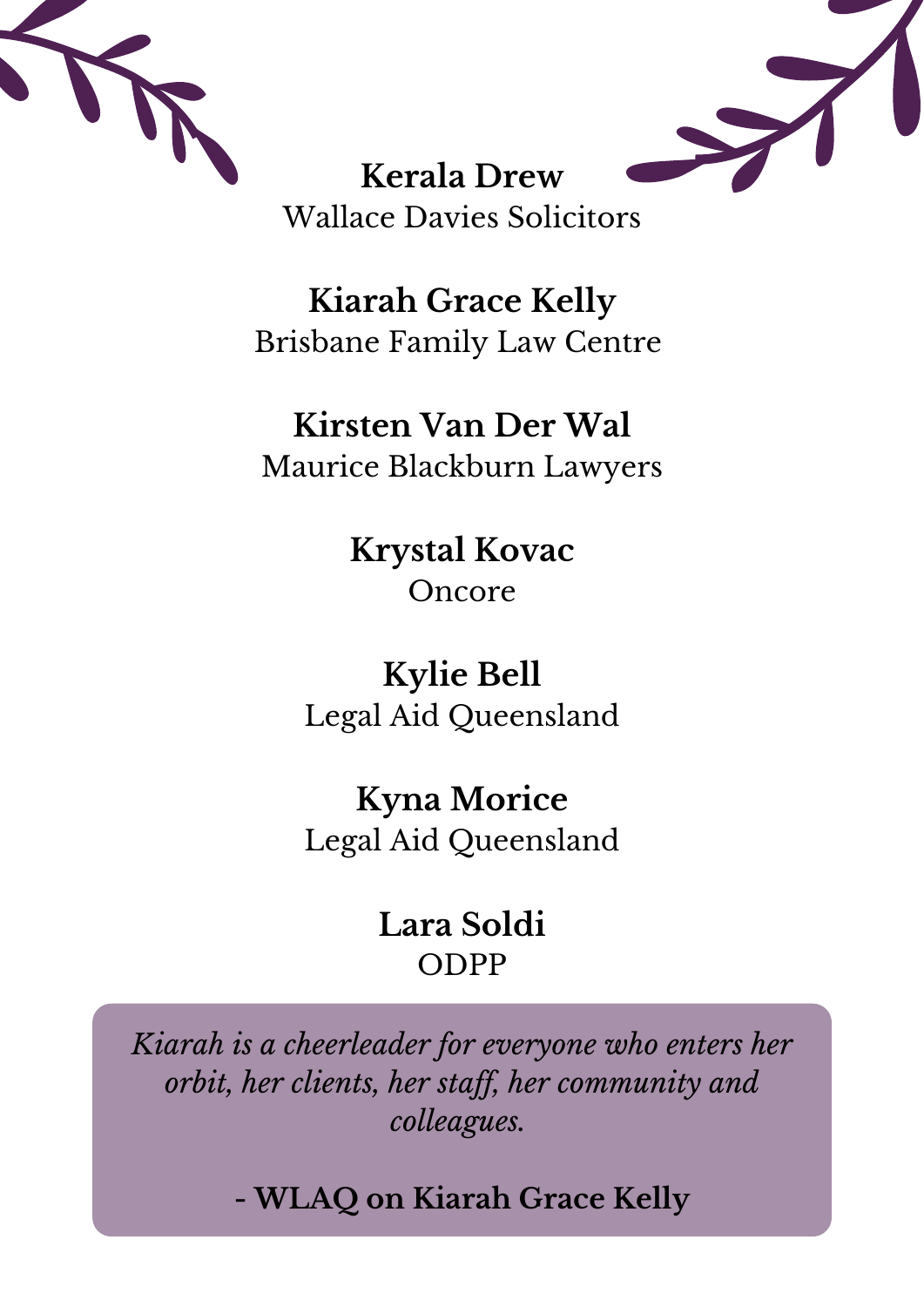



**Kerala Drew** Wallace Davies Solicitors

**Kiarah Grace Kelly** Brisbane Family Law Centre

#### **Kirsten Van Der Wal** Maurice Blackburn Lawyers

**Krystal Kovac** Oncore

**Kylie Bell** Legal Aid Queensland

**Kyna Morice** Legal Aid Queensland

#### **Lara Soldi** ODPP

*Kiarah is a cheerleader for everyone who enters her orbit, her clients, her staf , her community and colleagues.*

**- WLAQ on Kiarah Grace Kelly**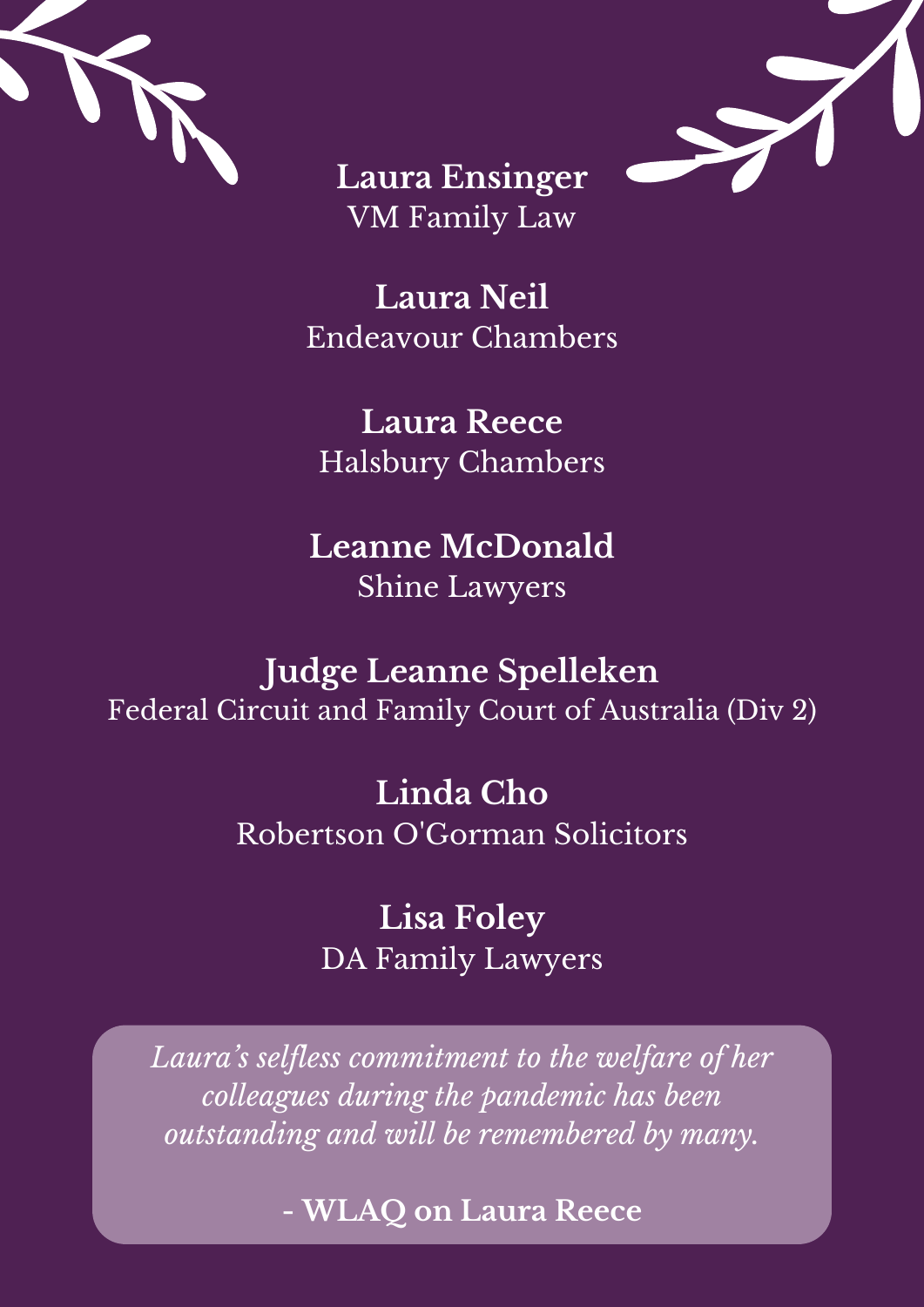



**Laura Ensinger** VM Family Law

**Laura Neil** Endeavour Chambers

**Laura Reece** Halsbury Chambers

#### **Leanne McDonald** Shine Lawyers

**Judge Leanne Spelleken**

Federal Circuit and Family Court of Australia (Div 2)

**Linda Cho** Robertson O'Gorman Solicitors

> **Lisa Foley** DA Family Lawyers

*Laura ' s selfless commitment to the welfare of her colleagues during the pandemic has been outstanding and will be remembered by many.*

**- WLAQ on Laura Reece**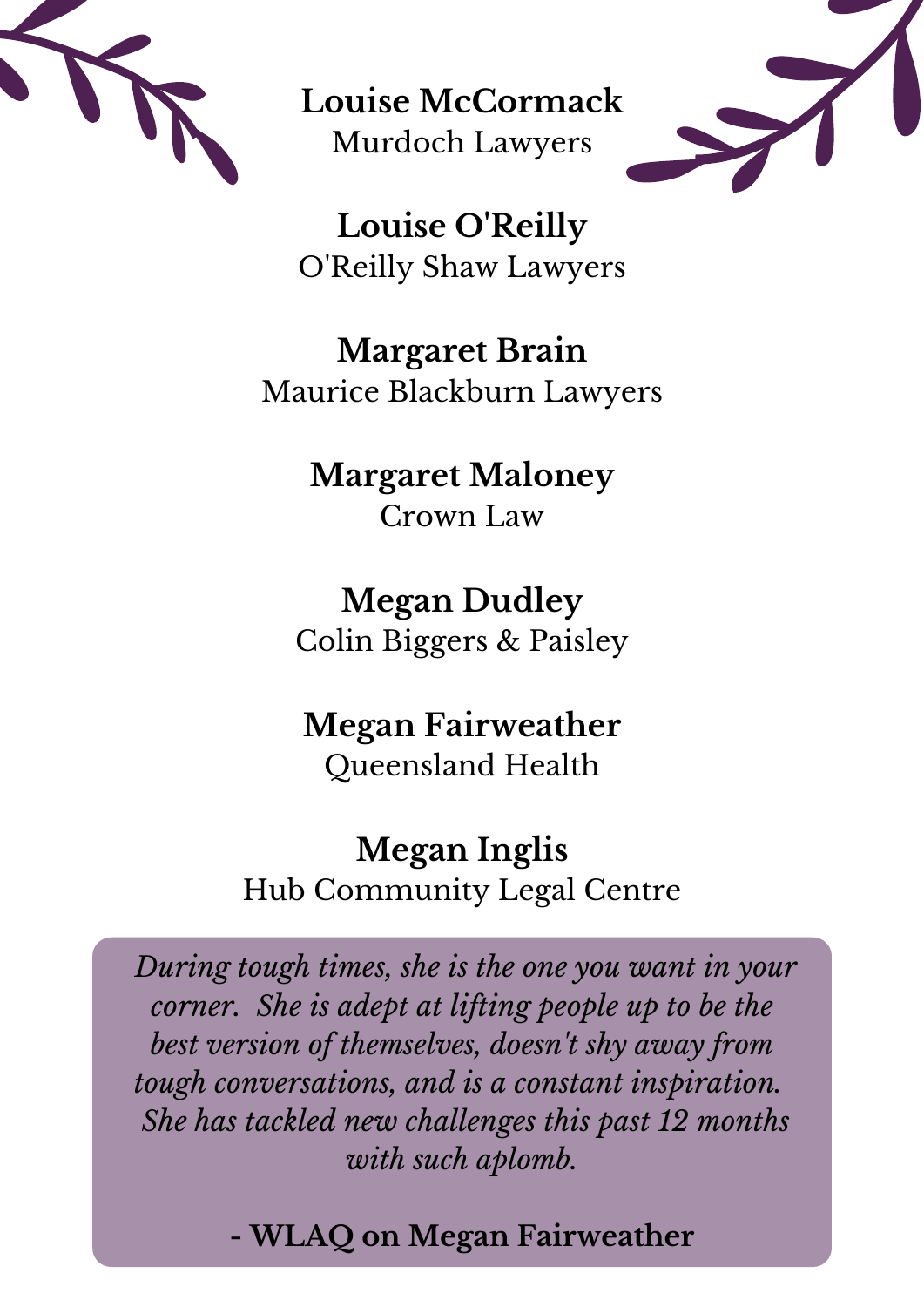

**Louise McCormack** Murdoch Lawyers



**Louise O'Reilly** O'Reilly Shaw Lawyers

**Margaret Brain** Maurice Blackburn Lawyers

> **Margaret Maloney** Crown Law

# **Megan Dudley**

Colin Biggers & Paisley

#### **Megan Fairweather** Queensland Health

#### **Megan Inglis** Hub Community Legal Centre

*During tough times, she is the one you want in your corner. She is adept at lifting people up to be the best version of themselves, doesn 't shy away from tough conversations, and is a constant inspiration. She has tackled new challenges this past 12 months with such aplomb.*

#### **- WLAQ on Megan Fairweather**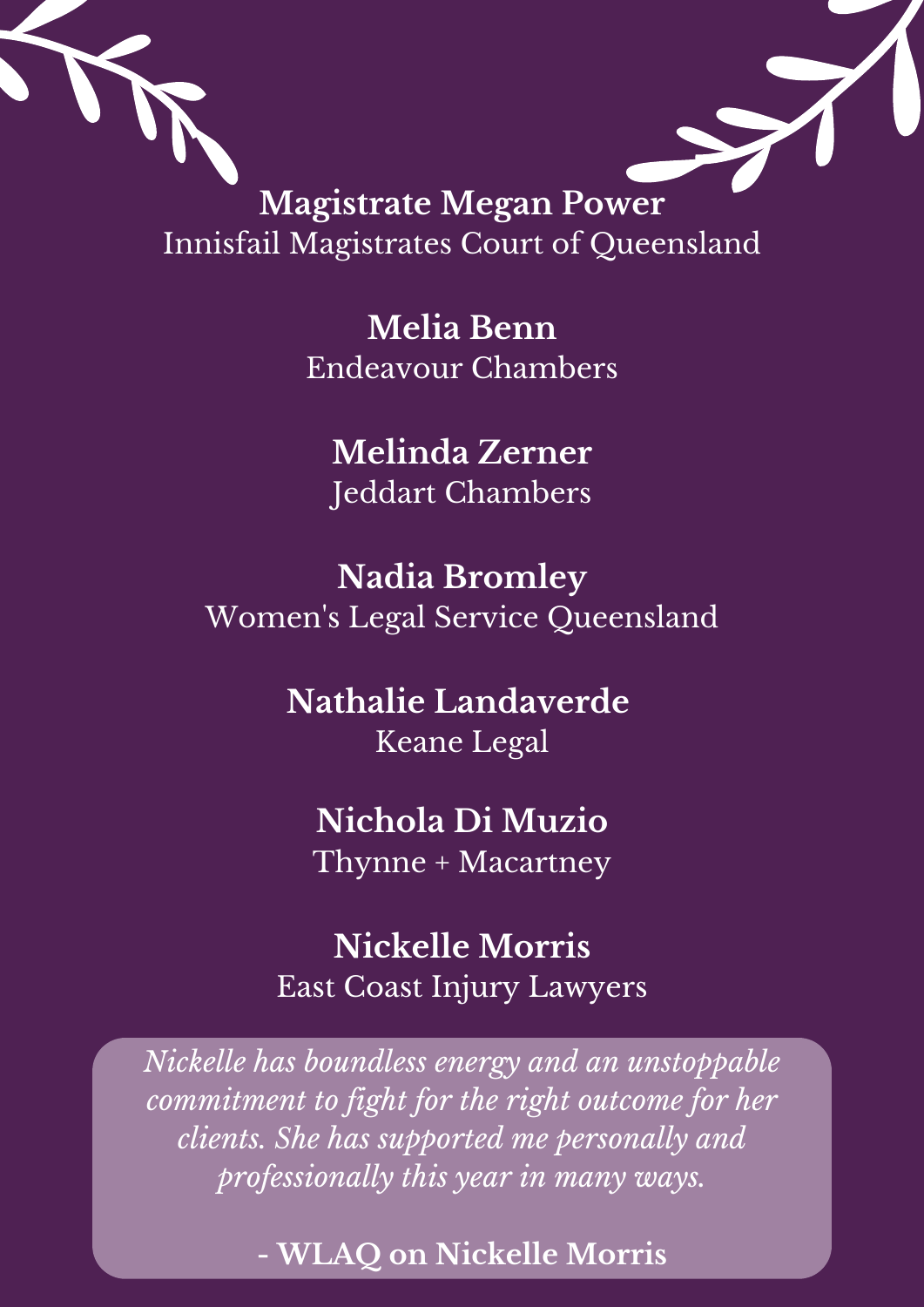

Innisfail Magistrates Court of Queensland

**Melia Benn** Endeavour Chambers

**Melinda Zerner** Jeddart Chambers

**Nadia Bromley** Women 's Legal Service Queensland

> **Nathalie Landaverde** Keane Legal

# **Nichola Di Muzio**

Thynne + Macartney

#### **Nickelle Morris** East Coast Injury Lawyers

*Nickelle has boundless energy and an unstoppable commitment to fight for the right outcome for her clients. She has supported me personally and professionally this year in many ways.*

**- WLAQ on Nickelle Morris**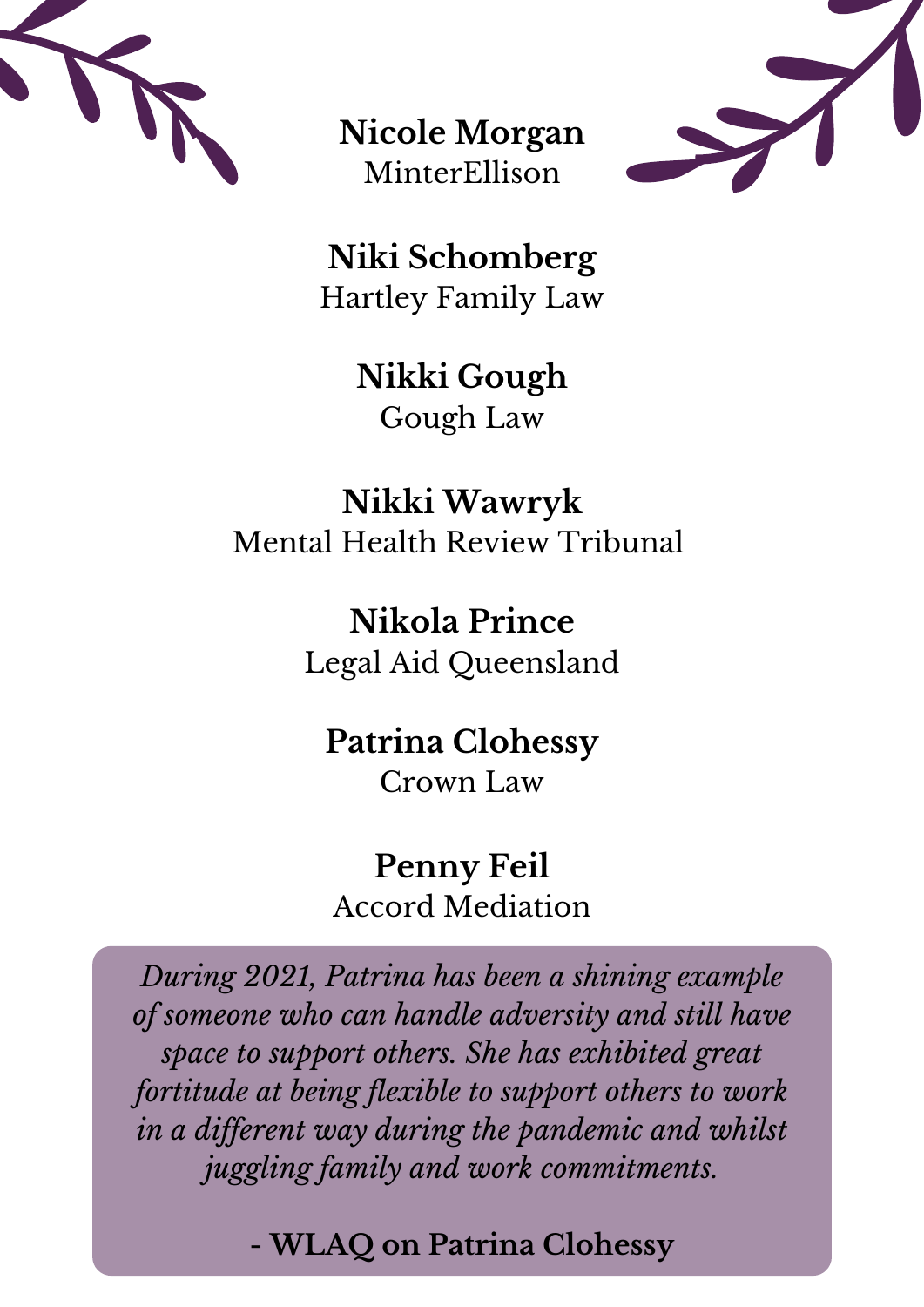

**Nicole Morgan** MinterEllison



**Niki Schomberg** Hartley Family Law

> **Nikki Gough** Gough Law

**Nikki Wawryk** Mental Health Review Tribunal

> **Nikola Prince** Legal Aid Queensland

**Patrina Clohessy** Crown Law

**Penny Feil** Accord Mediation

*During 2021, Patrina has been a shining example of someone who can handle adversity and still have space to support others. She has exhibited great fortitude at being flexible to support others to work in a dif erent way during the pandemic and whilst juggling family and work commitments.*

**- WLAQ on Patrina Clohessy**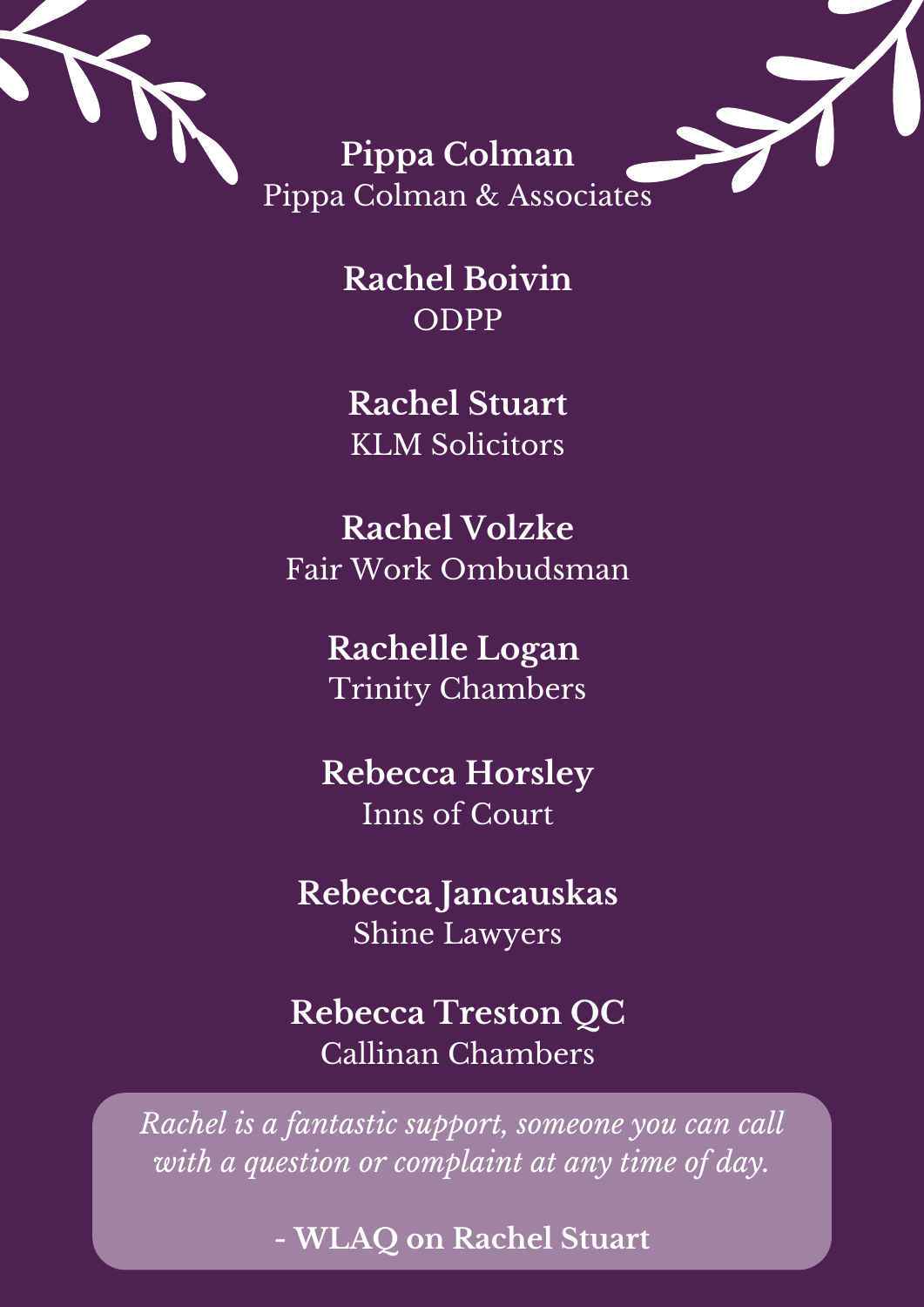

**Pippa Colman** Pippa Colman & Associates

> **Rachel Boivin** ODPP

**Rachel Stuart** KLM Solicitors

**Rachel Volzke** Fair Work Ombudsman

> **Rachelle Logan** Trinity Chambers

**Rebecca Horsley** Inns of Court

**Rebecca Jancauskas** Shine Lawyers

**Rebecca Treston QC** Callinan Chambers

*Rachel is a fantastic support, someone you can call with a question or complaint at any time of day.*

**- WLAQ on Rachel Stuart**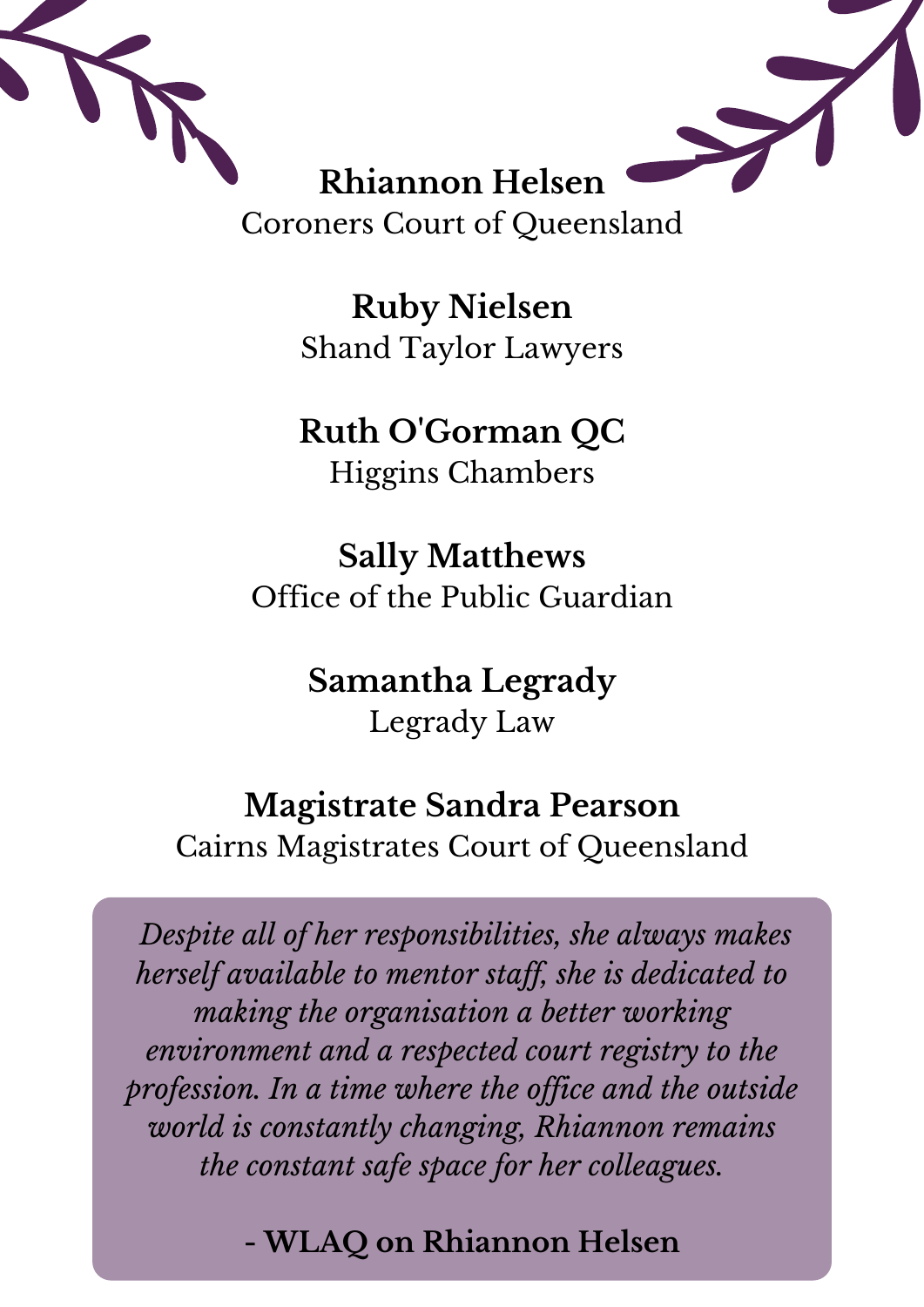

**Ruby Nielsen** Shand Taylor Lawyers

# **Ruth O'Gorman QC**

Higgins Chambers

**Sally Matthews** Office of the Public Guardian

#### **Samantha Legrady** Legrady Law

#### **Magistrate Sandra Pearson**

Cairns Magistrates Court of Queensland

*Despite all of her responsibilities, she always makes herself available to mentor staf , she is dedicated to making the organisation a better working environment and a respected court registry to the profession. In a time where the of ice and the outside world is constantly changing, Rhiannon remains the constant safe space for her colleagues.*

**- WLAQ on Rhiannon Helsen**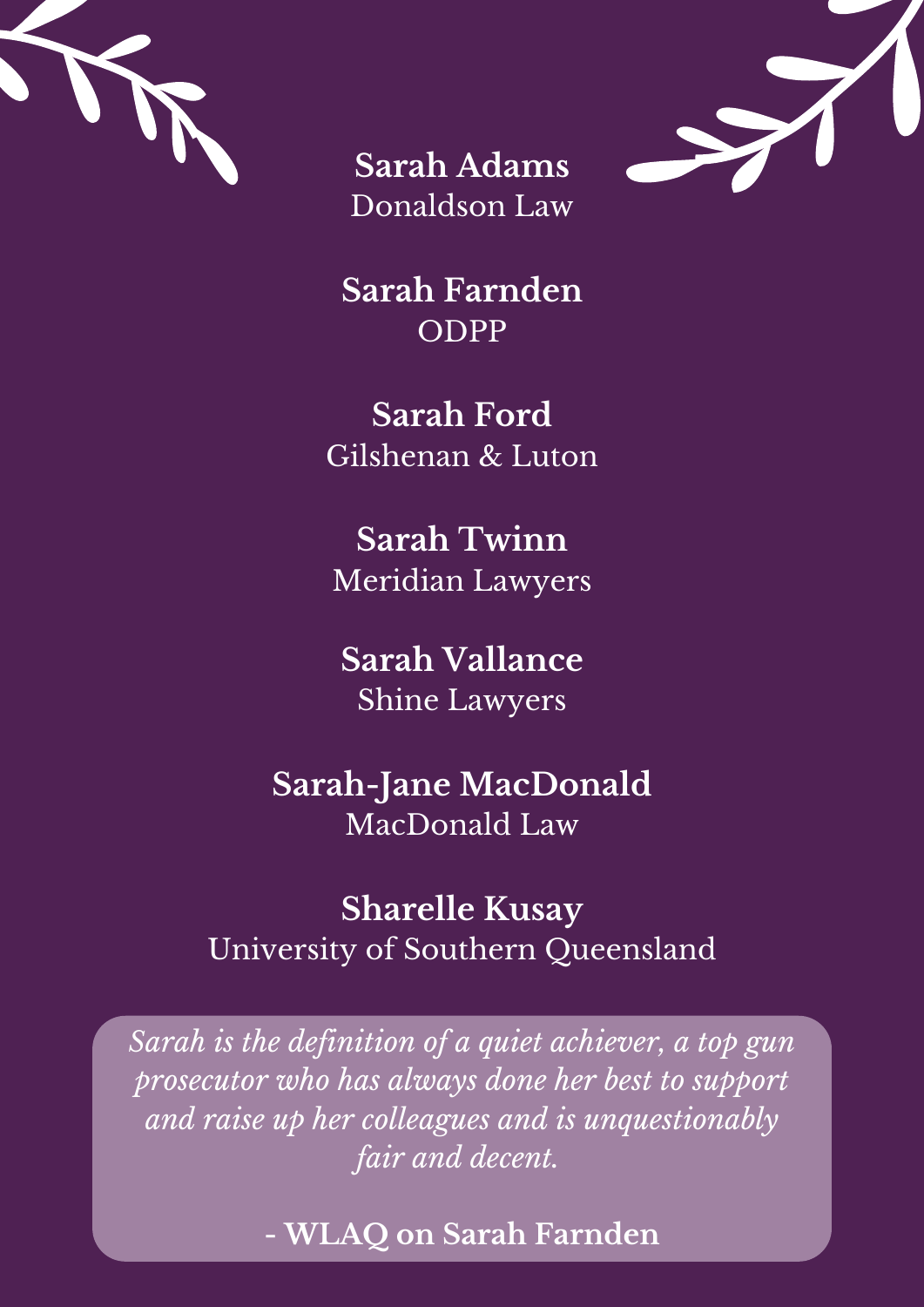





**Sarah Farnden** ODPP

**Sarah Ford** Gilshenan & Luton

**Sarah Twinn** Meridian Lawyers

**Sarah Vallance** Shine Lawyers

**Sarah-Jane MacDonald** MacDonald Law

#### **Sharelle Kusay** University of Southern Queensland

*Sarah is the definition of a quiet achiever, a top gun prosecutor who has always done her best to support and raise up her colleagues and is unquestionably fair and decent.*

**- WLAQ on Sarah Farnden**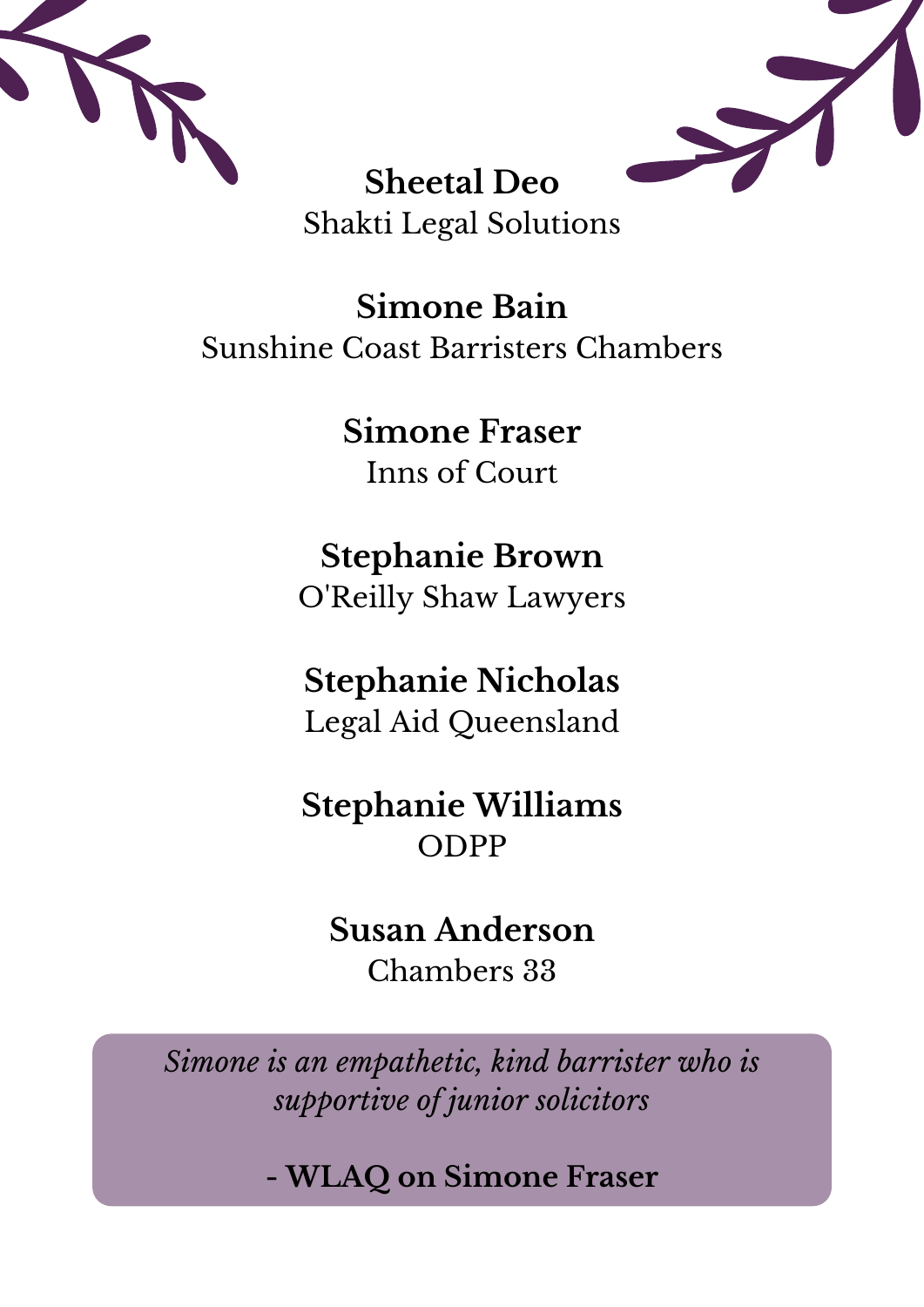



#### **Sheetal Deo** Shakti Legal Solutions

**Simone Bain** Sunshine Coast Barristers Chambers

> **Simone Fraser** Inns of Court

**Stephanie Brown** O'Reilly Shaw Lawyers

**Stephanie Nicholas** Legal Aid Queensland

**Stephanie Williams** ODPP

#### **Susan Anderson**

Chambers 33

*Simone is an empathetic, kind barrister who is supportive of junior solicitors*

**- WLAQ on Simone Fraser**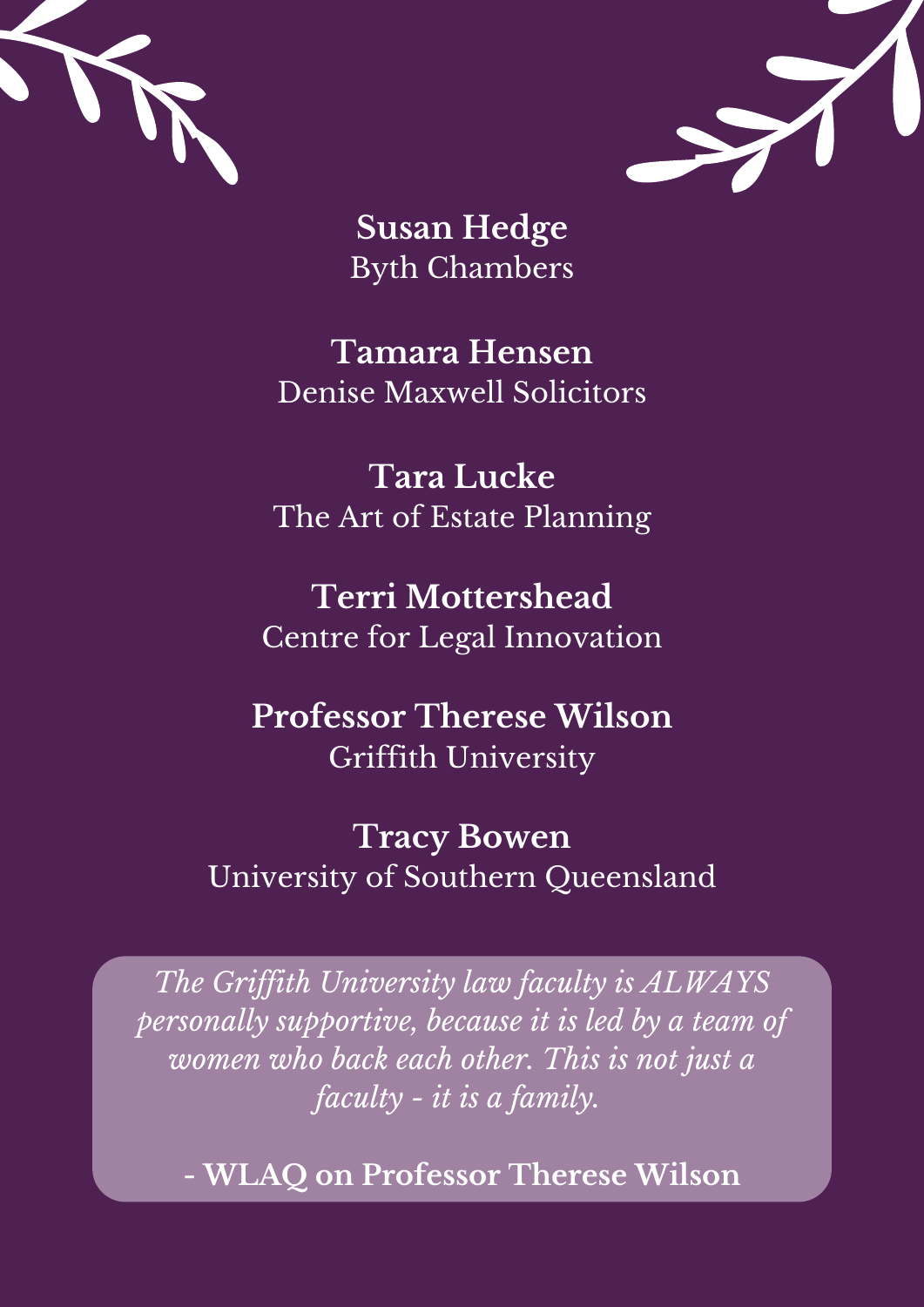



**Susan Hedge** Byth Chambers

**Tamara Hensen** Denise Maxwell Solicitors

**Tara Lucke** The Art of Estate Planning

**Terri Mottershead** Centre for Legal Innovation

**Professor Therese Wilson** Griffith University

**Tracy Bowen** University of Southern Queensland

*The Grif ith University law faculty is ALWAYS personally supportive, because it is led by a team of women who back each other. This is not just a faculty - it is a family.*

**- WLAQ on Professor Therese Wilson**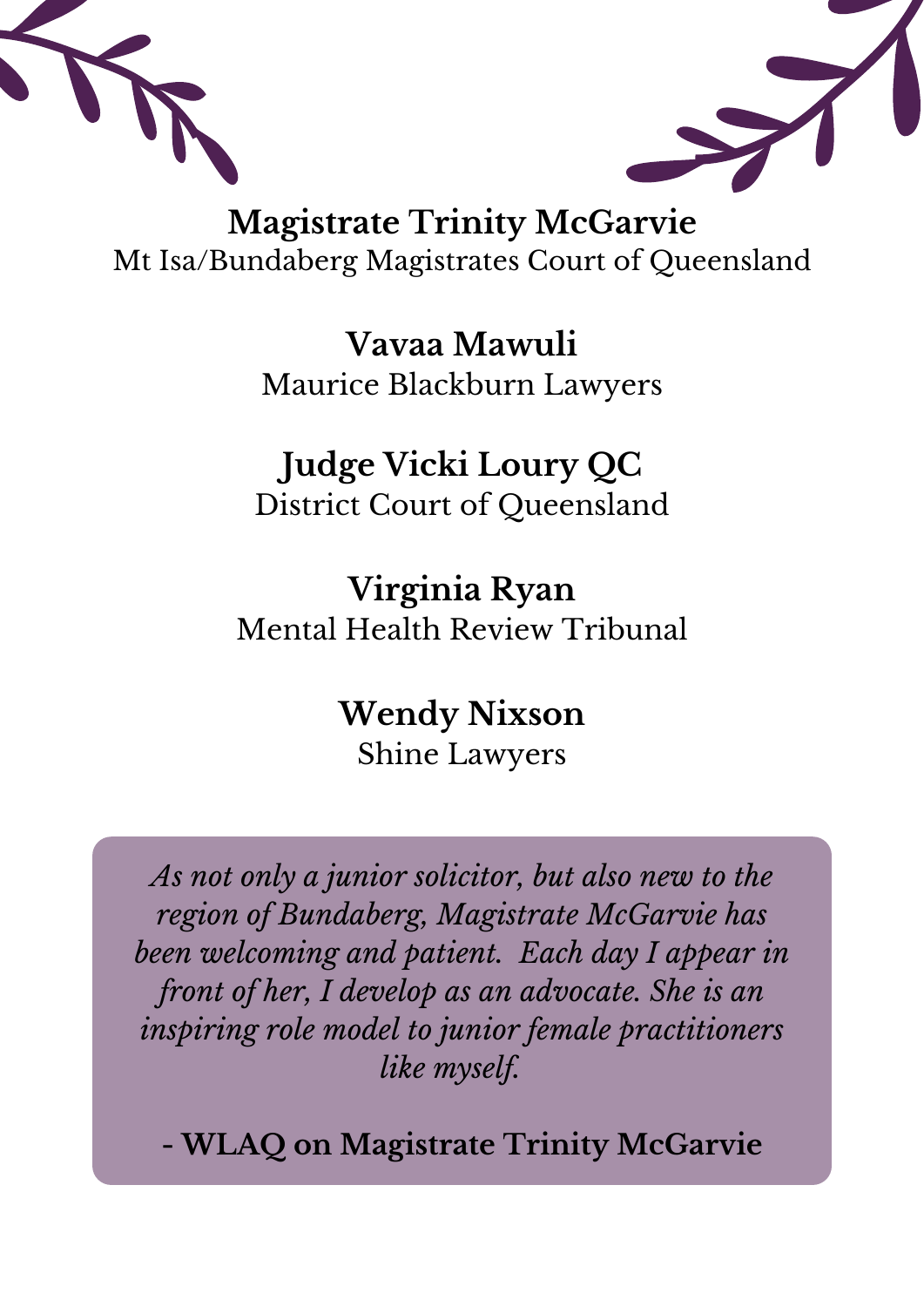



**Magistrate Trinity McGarvie** Mt Isa/Bundaberg Magistrates Court of Queensland

> **Vavaa Mawuli** Maurice Blackburn Lawyers

#### **Judge Vicki Loury QC** District Court of Queensland

**Virginia Ryan** Mental Health Review Tribunal

#### **Wendy Nixson** Shine Lawyers

*As not only a junior solicitor, but also new to the region of Bundaberg, Magistrate McGarvie has been welcoming and patient. Each day I appear in front of her, I develop as an advocate. She is an inspiring role model to junior female practitioners like myself.*

**- WLAQ on Magistrate Trinity McGarvie**